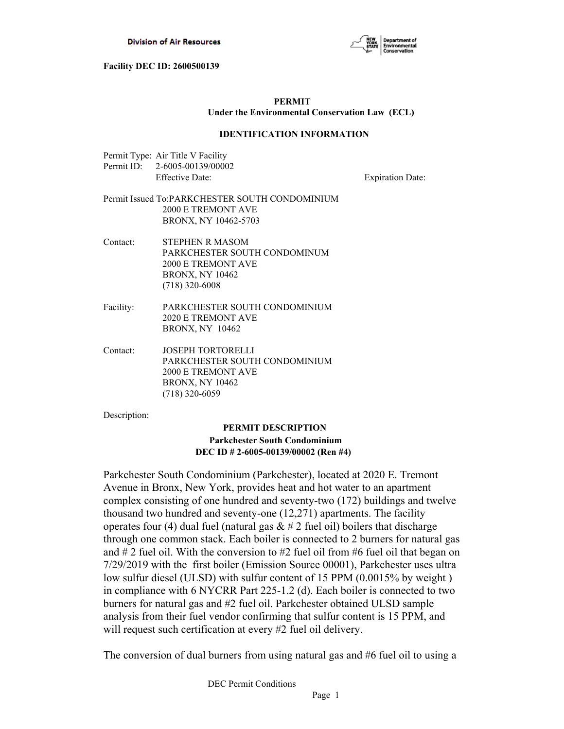

# **PERMIT Under the Environmental Conservation Law (ECL)**

# **IDENTIFICATION INFORMATION**

| Permit Type: Air Title V Facility |
|-----------------------------------|
| Permit ID: 2-6005-00139/00002     |
| <b>Effective Date:</b>            |

**Expiration Date:** 

# Permit Issued To:PARKCHESTER SOUTH CONDOMINIUM 2000 E TREMONT AVE BRONX, NY 10462-5703

- Contact: STEPHEN R MASOM PARKCHESTER SOUTH CONDOMINUM 2000 E TREMONT AVE BRONX, NY 10462 (718) 320-6008
- Facility: PARKCHESTER SOUTH CONDOMINIUM 2020 E TREMONT AVE BRONX, NY 10462
- Contact: JOSEPH TORTORELLI PARKCHESTER SOUTH CONDOMINIUM 2000 E TREMONT AVE BRONX, NY 10462 (718) 320-6059

Description:

## **PERMIT DESCRIPTION**

# **Parkchester South Condominium DEC ID # 2-6005-00139/00002 (Ren #4)**

Parkchester South Condominium (Parkchester), located at 2020 E. Tremont Avenue in Bronx, New York, provides heat and hot water to an apartment complex consisting of one hundred and seventy-two (172) buildings and twelve thousand two hundred and seventy-one (12,271) apartments. The facility operates four (4) dual fuel (natural gas  $\& \# 2$  fuel oil) boilers that discharge through one common stack. Each boiler is connected to 2 burners for natural gas and  $\#2$  fuel oil. With the conversion to  $\#2$  fuel oil from  $\#6$  fuel oil that began on 7/29/2019 with the first boiler (Emission Source 00001), Parkchester uses ultra low sulfur diesel (ULSD) with sulfur content of 15 PPM (0.0015% by weight ) in compliance with 6 NYCRR Part 225-1.2 (d). Each boiler is connected to two burners for natural gas and #2 fuel oil. Parkchester obtained ULSD sample analysis from their fuel vendor confirming that sulfur content is 15 PPM, and will request such certification at every #2 fuel oil delivery.

The conversion of dual burners from using natural gas and #6 fuel oil to using a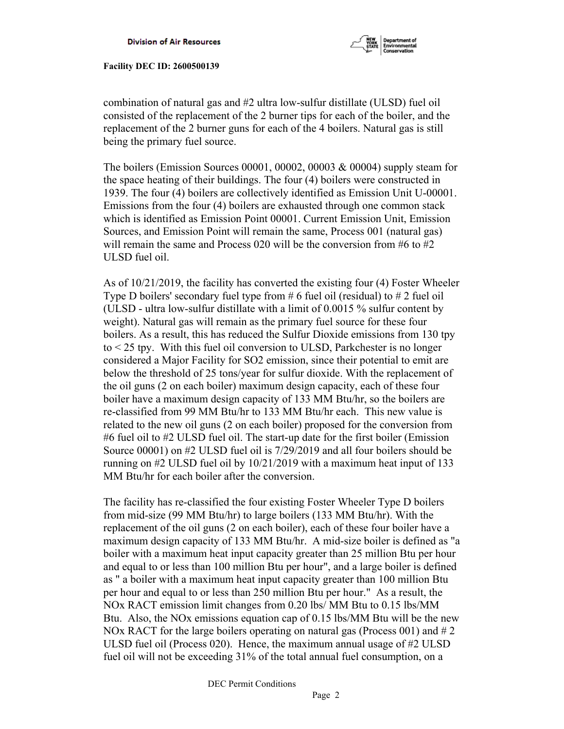

combination of natural gas and #2 ultra low-sulfur distillate (ULSD) fuel oil consisted of the replacement of the 2 burner tips for each of the boiler, and the replacement of the 2 burner guns for each of the 4 boilers. Natural gas is still being the primary fuel source.

The boilers (Emission Sources 00001, 00002, 00003 & 00004) supply steam for the space heating of their buildings. The four (4) boilers were constructed in 1939. The four (4) boilers are collectively identified as Emission Unit U-00001. Emissions from the four (4) boilers are exhausted through one common stack which is identified as Emission Point 00001. Current Emission Unit, Emission Sources, and Emission Point will remain the same, Process 001 (natural gas) will remain the same and Process 020 will be the conversion from  $#6$  to  $#2$ ULSD fuel oil.

As of 10/21/2019, the facility has converted the existing four (4) Foster Wheeler Type D boilers' secondary fuel type from # 6 fuel oil (residual) to # 2 fuel oil (ULSD - ultra low-sulfur distillate with a limit of 0.0015 % sulfur content by weight). Natural gas will remain as the primary fuel source for these four boilers. As a result, this has reduced the Sulfur Dioxide emissions from 130 tpy to < 25 tpy. With this fuel oil conversion to ULSD, Parkchester is no longer considered a Major Facility for SO2 emission, since their potential to emit are below the threshold of 25 tons/year for sulfur dioxide. With the replacement of the oil guns (2 on each boiler) maximum design capacity, each of these four boiler have a maximum design capacity of 133 MM Btu/hr, so the boilers are re-classified from 99 MM Btu/hr to 133 MM Btu/hr each. This new value is related to the new oil guns (2 on each boiler) proposed for the conversion from #6 fuel oil to #2 ULSD fuel oil. The start-up date for the first boiler (Emission Source 00001) on #2 ULSD fuel oil is 7/29/2019 and all four boilers should be running on #2 ULSD fuel oil by 10/21/2019 with a maximum heat input of 133 MM Btu/hr for each boiler after the conversion.

The facility has re-classified the four existing Foster Wheeler Type D boilers from mid-size (99 MM Btu/hr) to large boilers (133 MM Btu/hr). With the replacement of the oil guns (2 on each boiler), each of these four boiler have a maximum design capacity of 133 MM Btu/hr. A mid-size boiler is defined as "a boiler with a maximum heat input capacity greater than 25 million Btu per hour and equal to or less than 100 million Btu per hour", and a large boiler is defined as " a boiler with a maximum heat input capacity greater than 100 million Btu per hour and equal to or less than 250 million Btu per hour." As a result, the NOx RACT emission limit changes from 0.20 lbs/ MM Btu to 0.15 lbs/MM Btu. Also, the NOx emissions equation cap of 0.15 lbs/MM Btu will be the new NOx RACT for the large boilers operating on natural gas (Process 001) and  $\#2$ ULSD fuel oil (Process 020). Hence, the maximum annual usage of #2 ULSD fuel oil will not be exceeding 31% of the total annual fuel consumption, on a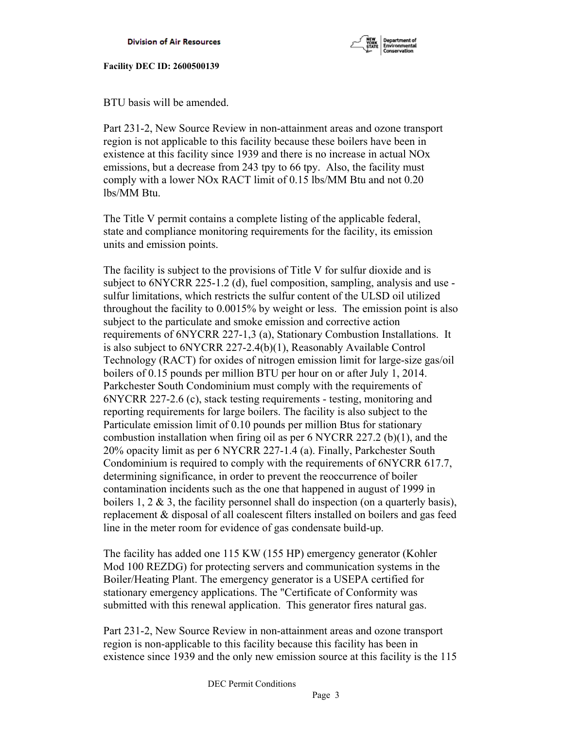

BTU basis will be amended.

Part 231-2, New Source Review in non-attainment areas and ozone transport region is not applicable to this facility because these boilers have been in existence at this facility since 1939 and there is no increase in actual NOx emissions, but a decrease from 243 tpy to 66 tpy. Also, the facility must comply with a lower NOx RACT limit of 0.15 lbs/MM Btu and not 0.20 lbs/MM Btu.

The Title V permit contains a complete listing of the applicable federal, state and compliance monitoring requirements for the facility, its emission units and emission points.

The facility is subject to the provisions of Title V for sulfur dioxide and is subject to 6NYCRR 225-1.2 (d), fuel composition, sampling, analysis and use sulfur limitations, which restricts the sulfur content of the ULSD oil utilized throughout the facility to 0.0015% by weight or less. The emission point is also subject to the particulate and smoke emission and corrective action requirements of 6NYCRR 227-1,3 (a), Stationary Combustion Installations. It is also subject to 6NYCRR 227-2.4(b)(1), Reasonably Available Control Technology (RACT) for oxides of nitrogen emission limit for large-size gas/oil boilers of 0.15 pounds per million BTU per hour on or after July 1, 2014. Parkchester South Condominium must comply with the requirements of 6NYCRR 227-2.6 (c), stack testing requirements - testing, monitoring and reporting requirements for large boilers. The facility is also subject to the Particulate emission limit of 0.10 pounds per million Btus for stationary combustion installation when firing oil as per 6 NYCRR 227.2 (b)(1), and the 20% opacity limit as per 6 NYCRR 227-1.4 (a). Finally, Parkchester South Condominium is required to comply with the requirements of 6NYCRR 617.7, determining significance, in order to prevent the reoccurrence of boiler contamination incidents such as the one that happened in august of 1999 in boilers 1, 2  $\&$  3, the facility personnel shall do inspection (on a quarterly basis), replacement & disposal of all coalescent filters installed on boilers and gas feed line in the meter room for evidence of gas condensate build-up.

The facility has added one 115 KW (155 HP) emergency generator (Kohler Mod 100 REZDG) for protecting servers and communication systems in the Boiler/Heating Plant. The emergency generator is a USEPA certified for stationary emergency applications. The "Certificate of Conformity was submitted with this renewal application. This generator fires natural gas.

Part 231-2, New Source Review in non-attainment areas and ozone transport region is non-applicable to this facility because this facility has been in existence since 1939 and the only new emission source at this facility is the 115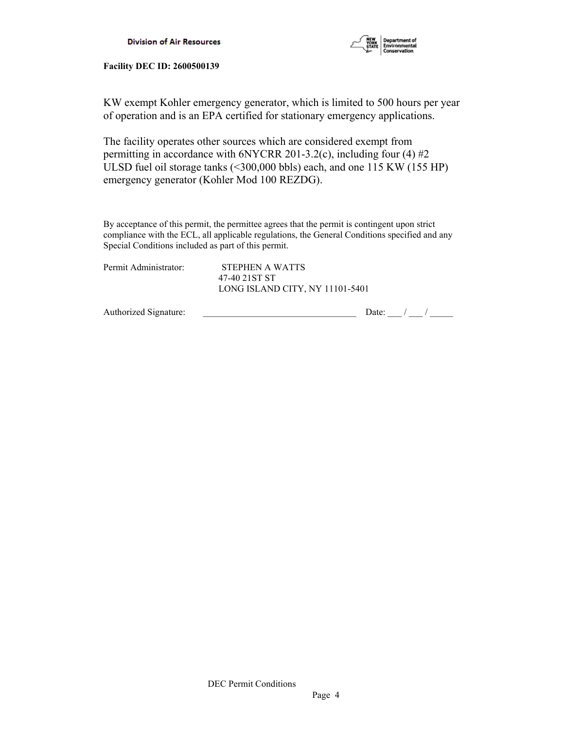

KW exempt Kohler emergency generator, which is limited to 500 hours per year of operation and is an EPA certified for stationary emergency applications.

The facility operates other sources which are considered exempt from permitting in accordance with 6NYCRR 201-3.2(c), including four  $(4)$  #2 ULSD fuel oil storage tanks (<300,000 bbls) each, and one 115 KW (155 HP) emergency generator (Kohler Mod 100 REZDG).

By acceptance of this permit, the permittee agrees that the permit is contingent upon strict compliance with the ECL, all applicable regulations, the General Conditions specified and any Special Conditions included as part of this permit.

| Permit Administrator: | STEPHEN A WATTS                 |
|-----------------------|---------------------------------|
|                       | 47-40 21ST ST                   |
|                       | LONG ISLAND CITY, NY 11101-5401 |

Authorized Signature: \_\_\_\_\_\_\_\_\_\_\_\_\_\_\_\_\_\_\_\_\_\_\_\_\_\_\_\_\_\_\_\_\_ Date: \_\_\_ / \_\_\_ / \_\_\_\_\_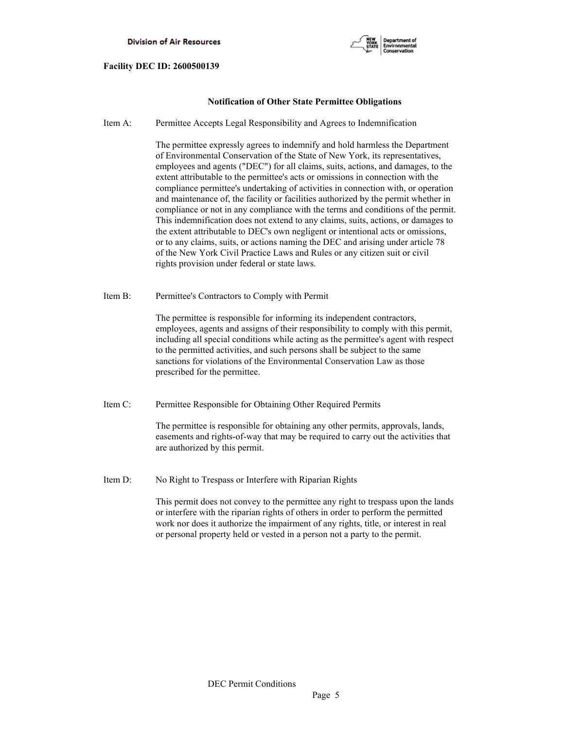

# **Notification of Other State Permittee Obligations**

Item A: Permittee Accepts Legal Responsibility and Agrees to Indemnification

 The permittee expressly agrees to indemnify and hold harmless the Department of Environmental Conservation of the State of New York, its representatives, employees and agents ("DEC") for all claims, suits, actions, and damages, to the extent attributable to the permittee's acts or omissions in connection with the compliance permittee's undertaking of activities in connection with, or operation and maintenance of, the facility or facilities authorized by the permit whether in compliance or not in any compliance with the terms and conditions of the permit. This indemnification does not extend to any claims, suits, actions, or damages to the extent attributable to DEC's own negligent or intentional acts or omissions, or to any claims, suits, or actions naming the DEC and arising under article 78 of the New York Civil Practice Laws and Rules or any citizen suit or civil rights provision under federal or state laws.

Item B: Permittee's Contractors to Comply with Permit

 The permittee is responsible for informing its independent contractors, employees, agents and assigns of their responsibility to comply with this permit, including all special conditions while acting as the permittee's agent with respect to the permitted activities, and such persons shall be subject to the same sanctions for violations of the Environmental Conservation Law as those prescribed for the permittee.

Item C: Permittee Responsible for Obtaining Other Required Permits

 The permittee is responsible for obtaining any other permits, approvals, lands, easements and rights-of-way that may be required to carry out the activities that are authorized by this permit.

Item D: No Right to Trespass or Interfere with Riparian Rights

 This permit does not convey to the permittee any right to trespass upon the lands or interfere with the riparian rights of others in order to perform the permitted work nor does it authorize the impairment of any rights, title, or interest in real or personal property held or vested in a person not a party to the permit.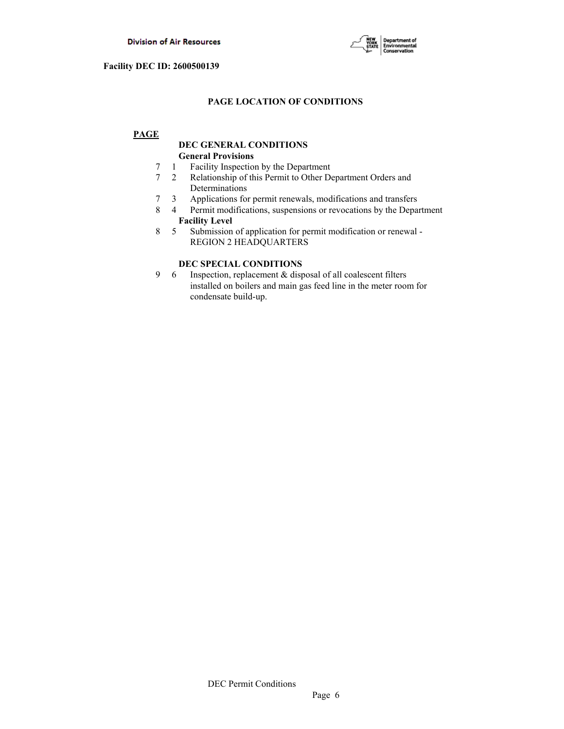

# **PAGE LOCATION OF CONDITIONS**

# **PAGE**

## **DEC GENERAL CONDITIONS General Provisions**

- 7 1 Facility Inspection by the Department
- 7 2 Relationship of this Permit to Other Department Orders and Determinations
- 7 3 Applications for permit renewals, modifications and transfers
- 8 4 Permit modifications, suspensions or revocations by the Department  **Facility Level**
- 8 5 Submission of application for permit modification or renewal REGION 2 HEADQUARTERS

# **DEC SPECIAL CONDITIONS**

 9 6 Inspection, replacement & disposal of all coalescent filters installed on boilers and main gas feed line in the meter room for condensate build-up.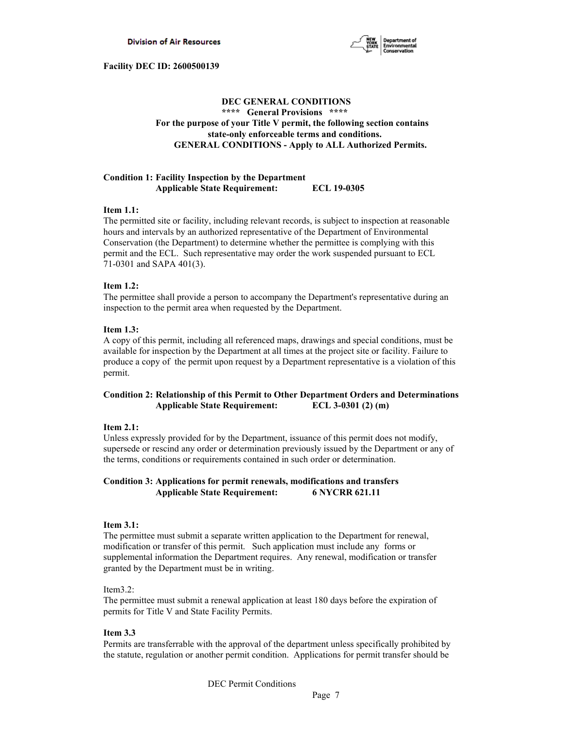

# **DEC GENERAL CONDITIONS \*\*\*\* General Provisions \*\*\*\* For the purpose of your Title V permit, the following section contains state-only enforceable terms and conditions. GENERAL CONDITIONS - Apply to ALL Authorized Permits.**

## **Condition 1: Facility Inspection by the Department Applicable State Requirement: ECL 19-0305**

## **Item 1.1:**

The permitted site or facility, including relevant records, is subject to inspection at reasonable hours and intervals by an authorized representative of the Department of Environmental Conservation (the Department) to determine whether the permittee is complying with this permit and the ECL. Such representative may order the work suspended pursuant to ECL 71-0301 and SAPA 401(3).

## **Item 1.2:**

The permittee shall provide a person to accompany the Department's representative during an inspection to the permit area when requested by the Department.

## **Item 1.3:**

A copy of this permit, including all referenced maps, drawings and special conditions, must be available for inspection by the Department at all times at the project site or facility. Failure to produce a copy of the permit upon request by a Department representative is a violation of this permit.

# **Condition 2: Relationship of this Permit to Other Department Orders and Determinations Applicable State Requirement: ECL 3-0301 (2) (m)**

## **Item 2.1:**

Unless expressly provided for by the Department, issuance of this permit does not modify, supersede or rescind any order or determination previously issued by the Department or any of the terms, conditions or requirements contained in such order or determination.

## **Condition 3: Applications for permit renewals, modifications and transfers Applicable State Requirement: 6 NYCRR 621.11**

## **Item 3.1:**

The permittee must submit a separate written application to the Department for renewal, modification or transfer of this permit. Such application must include any forms or supplemental information the Department requires. Any renewal, modification or transfer granted by the Department must be in writing.

## Item3.2:

The permittee must submit a renewal application at least 180 days before the expiration of permits for Title V and State Facility Permits.

## **Item 3.3**

Permits are transferrable with the approval of the department unless specifically prohibited by the statute, regulation or another permit condition. Applications for permit transfer should be

DEC Permit Conditions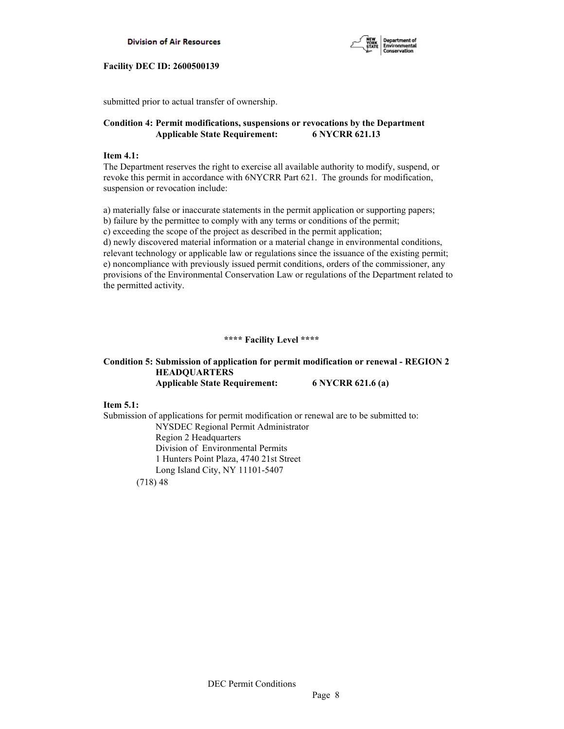



submitted prior to actual transfer of ownership.

# **Condition 4: Permit modifications, suspensions or revocations by the Department Applicable State Requirement: 6 NYCRR 621.13**

## **Item 4.1:**

The Department reserves the right to exercise all available authority to modify, suspend, or revoke this permit in accordance with 6NYCRR Part 621. The grounds for modification, suspension or revocation include:

a) materially false or inaccurate statements in the permit application or supporting papers; b) failure by the permittee to comply with any terms or conditions of the permit; c) exceeding the scope of the project as described in the permit application; d) newly discovered material information or a material change in environmental conditions, relevant technology or applicable law or regulations since the issuance of the existing permit; e) noncompliance with previously issued permit conditions, orders of the commissioner, any provisions of the Environmental Conservation Law or regulations of the Department related to the permitted activity.

# **\*\*\*\* Facility Level \*\*\*\***

# **Condition 5: Submission of application for permit modification or renewal - REGION 2 HEADQUARTERS Applicable State Requirement: 6 NYCRR 621.6 (a)**

## **Item 5.1:**

Submission of applications for permit modification or renewal are to be submitted to: NYSDEC Regional Permit Administrator Region 2 Headquarters Division of Environmental Permits 1 Hunters Point Plaza, 4740 21st Street Long Island City, NY 11101-5407

(718) 48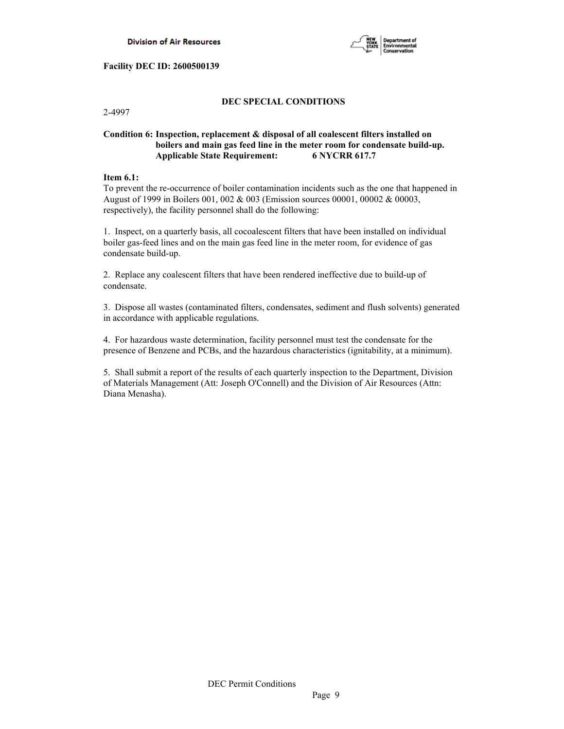

# **DEC SPECIAL CONDITIONS**

2-4997

# **Condition 6: Inspection, replacement & disposal of all coalescent filters installed on boilers and main gas feed line in the meter room for condensate build-up. Applicable State Requirement: 6 NYCRR 617.7**

## **Item 6.1:**

To prevent the re-occurrence of boiler contamination incidents such as the one that happened in August of 1999 in Boilers 001, 002 & 003 (Emission sources 00001, 00002 & 00003, respectively), the facility personnel shall do the following:

1. Inspect, on a quarterly basis, all cocoalescent filters that have been installed on individual boiler gas-feed lines and on the main gas feed line in the meter room, for evidence of gas condensate build-up.

2. Replace any coalescent filters that have been rendered ineffective due to build-up of condensate.

3. Dispose all wastes (contaminated filters, condensates, sediment and flush solvents) generated in accordance with applicable regulations.

4. For hazardous waste determination, facility personnel must test the condensate for the presence of Benzene and PCBs, and the hazardous characteristics (ignitability, at a minimum).

5. Shall submit a report of the results of each quarterly inspection to the Department, Division of Materials Management (Att: Joseph O'Connell) and the Division of Air Resources (Attn: Diana Menasha).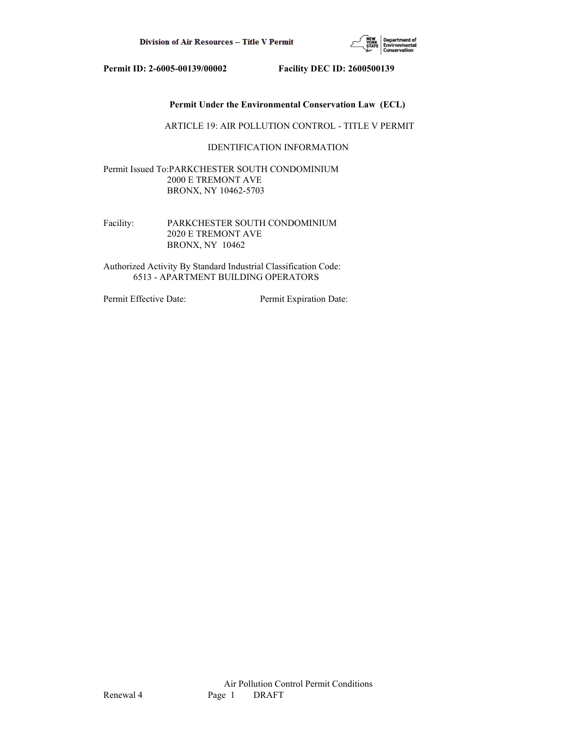

# **Permit Under the Environmental Conservation Law (ECL)**

ARTICLE 19: AIR POLLUTION CONTROL - TITLE V PERMIT

# IDENTIFICATION INFORMATION

Permit Issued To:PARKCHESTER SOUTH CONDOMINIUM 2000 E TREMONT AVE BRONX, NY 10462-5703

Facility: PARKCHESTER SOUTH CONDOMINIUM 2020 E TREMONT AVE BRONX, NY 10462

Authorized Activity By Standard Industrial Classification Code: 6513 - APARTMENT BUILDING OPERATORS

Permit Effective Date: Permit Expiration Date: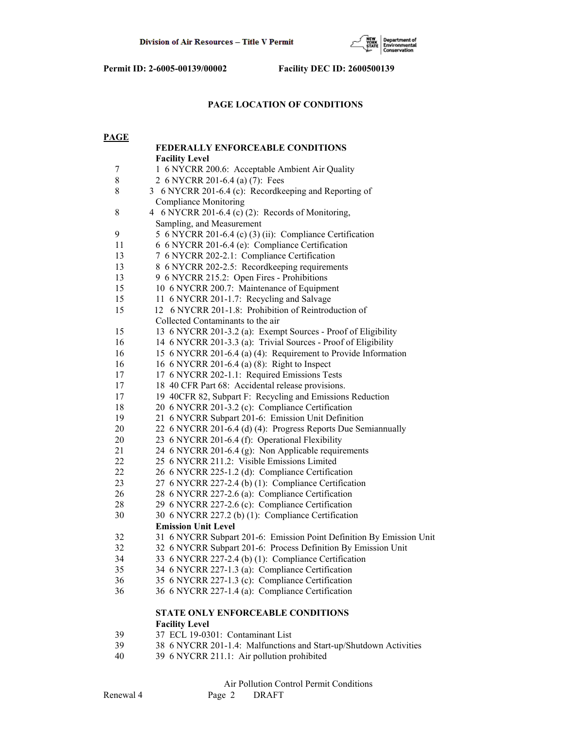

## **PAGE LOCATION OF CONDITIONS**

| <b>PAGE</b> |                                                                      |  |  |
|-------------|----------------------------------------------------------------------|--|--|
|             | FEDERALLY ENFORCEABLE CONDITIONS                                     |  |  |
|             | <b>Facility Level</b>                                                |  |  |
| 7           | 1 6 NYCRR 200.6: Acceptable Ambient Air Quality                      |  |  |
| 8           | 2 6 NYCRR 201-6.4 (a) (7): Fees                                      |  |  |
| 8           | 3 6 NYCRR 201-6.4 (c): Recordkeeping and Reporting of                |  |  |
|             | <b>Compliance Monitoring</b>                                         |  |  |
| $\,$ $\,$   | 4 6 NYCRR 201-6.4 (c) (2): Records of Monitoring,                    |  |  |
|             | Sampling, and Measurement                                            |  |  |
| 9           | 5 6 NYCRR 201-6.4 (c) (3) (ii): Compliance Certification             |  |  |
| 11          | 6 6 NYCRR 201-6.4 (e): Compliance Certification                      |  |  |
| 13          | 7 6 NYCRR 202-2.1: Compliance Certification                          |  |  |
| 13          | 8 6 NYCRR 202-2.5: Recordkeeping requirements                        |  |  |
| 13          | 9 6 NYCRR 215.2: Open Fires - Prohibitions                           |  |  |
| 15          | 10 6 NYCRR 200.7: Maintenance of Equipment                           |  |  |
| 15          | 11 6 NYCRR 201-1.7: Recycling and Salvage                            |  |  |
| 15          | 12 6 NYCRR 201-1.8: Prohibition of Reintroduction of                 |  |  |
|             | Collected Contaminants to the air                                    |  |  |
| 15          | 13 6 NYCRR 201-3.2 (a): Exempt Sources - Proof of Eligibility        |  |  |
| 16          | 14 6 NYCRR 201-3.3 (a): Trivial Sources - Proof of Eligibility       |  |  |
| 16          | 15 6 NYCRR 201-6.4 (a) (4): Requirement to Provide Information       |  |  |
| 16          | 16 6 NYCRR 201-6.4 (a) (8): Right to Inspect                         |  |  |
| 17          | 17 6 NYCRR 202-1.1: Required Emissions Tests                         |  |  |
| 17          | 18 40 CFR Part 68: Accidental release provisions.                    |  |  |
| 17          | 19 40CFR 82, Subpart F: Recycling and Emissions Reduction            |  |  |
| 18          | 20 6 NYCRR 201-3.2 (c): Compliance Certification                     |  |  |
| 19          | 21 6 NYCRR Subpart 201-6: Emission Unit Definition                   |  |  |
| 20          | 22 6 NYCRR 201-6.4 (d) (4): Progress Reports Due Semiannually        |  |  |
| 20          | 23 6 NYCRR 201-6.4 (f): Operational Flexibility                      |  |  |
| 21          | 24 6 NYCRR 201-6.4 (g): Non Applicable requirements                  |  |  |
| 22          | 25 6 NYCRR 211.2: Visible Emissions Limited                          |  |  |
| 22          | 26 6 NYCRR 225-1.2 (d): Compliance Certification                     |  |  |
| 23          | 27 6 NYCRR 227-2.4 (b) (1): Compliance Certification                 |  |  |
| 26          | 28 6 NYCRR 227-2.6 (a): Compliance Certification                     |  |  |
| 28          | 29 6 NYCRR 227-2.6 (c): Compliance Certification                     |  |  |
| 30          | 30 6 NYCRR 227.2 (b) (1): Compliance Certification                   |  |  |
|             | <b>Emission Unit Level</b>                                           |  |  |
| 32          | 31 6 NYCRR Subpart 201-6: Emission Point Definition By Emission Unit |  |  |
| 32          | 32 6 NYCRR Subpart 201-6: Process Definition By Emission Unit        |  |  |
| 34          | 33 6 NYCRR 227-2.4 (b) (1): Compliance Certification                 |  |  |
| 35          | 34 6 NYCRR 227-1.3 (a): Compliance Certification                     |  |  |
| 36          | 35 6 NYCRR 227-1.3 (c): Compliance Certification                     |  |  |
| 36          | 36 6 NYCRR 227-1.4 (a): Compliance Certification                     |  |  |
|             | <b>STATE ONLY ENFORCEABLE CONDITIONS</b>                             |  |  |
|             | <b>Facility Level</b>                                                |  |  |
| 39<br>20    | 37 ECL 19-0301: Contaminant List<br>$\ell$ MVCDD 201-1-4. M-14       |  |  |
|             |                                                                      |  |  |

- 39 38 6 NYCRR 201-1.4: Malfunctions and Start-up/Shutdown Activities
- 40 39 6 NYCRR 211.1: Air pollution prohibited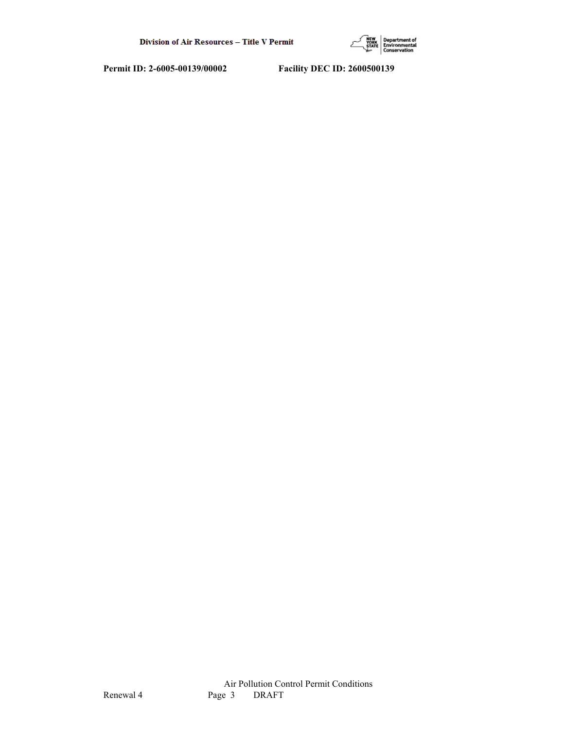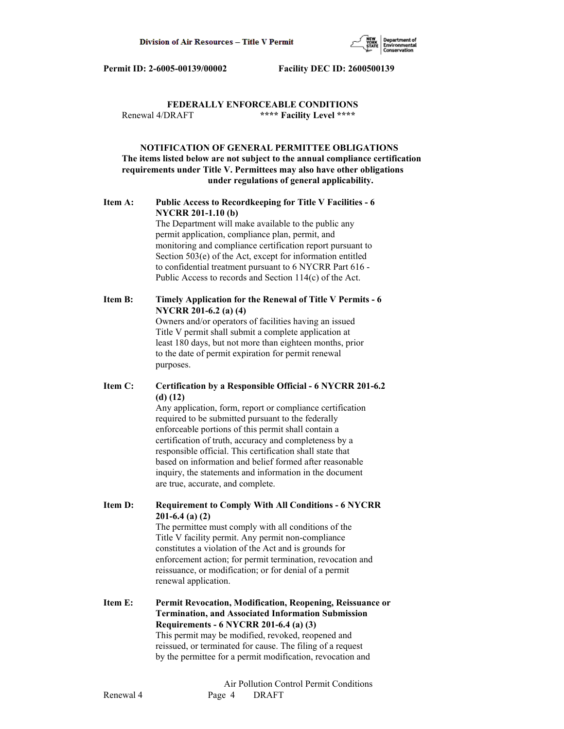

# **FEDERALLY ENFORCEABLE CONDITIONS** Renewal 4/DRAFT **\*\*\*\* Facility Level \*\*\*\***

# **NOTIFICATION OF GENERAL PERMITTEE OBLIGATIONS The items listed below are not subject to the annual compliance certification requirements under Title V. Permittees may also have other obligations under regulations of general applicability.**

# **Item A: Public Access to Recordkeeping for Title V Facilities - 6 NYCRR 201-1.10 (b)**

 The Department will make available to the public any permit application, compliance plan, permit, and monitoring and compliance certification report pursuant to Section 503(e) of the Act, except for information entitled to confidential treatment pursuant to 6 NYCRR Part 616 - Public Access to records and Section 114(c) of the Act.

# **Item B: Timely Application for the Renewal of Title V Permits - 6 NYCRR 201-6.2 (a) (4)**

 Owners and/or operators of facilities having an issued Title V permit shall submit a complete application at least 180 days, but not more than eighteen months, prior to the date of permit expiration for permit renewal purposes.

# **Item C: Certification by a Responsible Official - 6 NYCRR 201-6.2 (d) (12)**

 Any application, form, report or compliance certification required to be submitted pursuant to the federally enforceable portions of this permit shall contain a certification of truth, accuracy and completeness by a responsible official. This certification shall state that based on information and belief formed after reasonable inquiry, the statements and information in the document are true, accurate, and complete.

**Item D: Requirement to Comply With All Conditions - 6 NYCRR 201-6.4 (a) (2)**

 The permittee must comply with all conditions of the Title V facility permit. Any permit non-compliance constitutes a violation of the Act and is grounds for enforcement action; for permit termination, revocation and reissuance, or modification; or for denial of a permit renewal application.

**Item E: Permit Revocation, Modification, Reopening, Reissuance or Termination, and Associated Information Submission Requirements - 6 NYCRR 201-6.4 (a) (3)** This permit may be modified, revoked, reopened and reissued, or terminated for cause. The filing of a request by the permittee for a permit modification, revocation and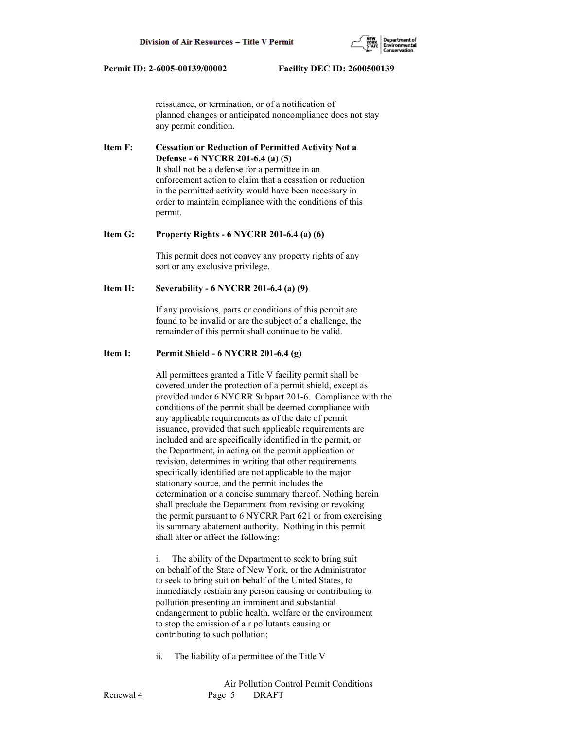reissuance, or termination, or of a notification of planned changes or anticipated noncompliance does not stay any permit condition.

**Item F: Cessation or Reduction of Permitted Activity Not a Defense - 6 NYCRR 201-6.4 (a) (5)** It shall not be a defense for a permittee in an enforcement action to claim that a cessation or reduction in the permitted activity would have been necessary in order to maintain compliance with the conditions of this permit.

#### **Item G: Property Rights - 6 NYCRR 201-6.4 (a) (6)**

 This permit does not convey any property rights of any sort or any exclusive privilege.

#### **Item H: Severability - 6 NYCRR 201-6.4 (a) (9)**

 If any provisions, parts or conditions of this permit are found to be invalid or are the subject of a challenge, the remainder of this permit shall continue to be valid.

## **Item I: Permit Shield - 6 NYCRR 201-6.4 (g)**

 All permittees granted a Title V facility permit shall be covered under the protection of a permit shield, except as provided under 6 NYCRR Subpart 201-6. Compliance with the conditions of the permit shall be deemed compliance with any applicable requirements as of the date of permit issuance, provided that such applicable requirements are included and are specifically identified in the permit, or the Department, in acting on the permit application or revision, determines in writing that other requirements specifically identified are not applicable to the major stationary source, and the permit includes the determination or a concise summary thereof. Nothing herein shall preclude the Department from revising or revoking the permit pursuant to 6 NYCRR Part 621 or from exercising its summary abatement authority. Nothing in this permit shall alter or affect the following:

 i. The ability of the Department to seek to bring suit on behalf of the State of New York, or the Administrator to seek to bring suit on behalf of the United States, to immediately restrain any person causing or contributing to pollution presenting an imminent and substantial endangerment to public health, welfare or the environment to stop the emission of air pollutants causing or contributing to such pollution;

ii. The liability of a permittee of the Title V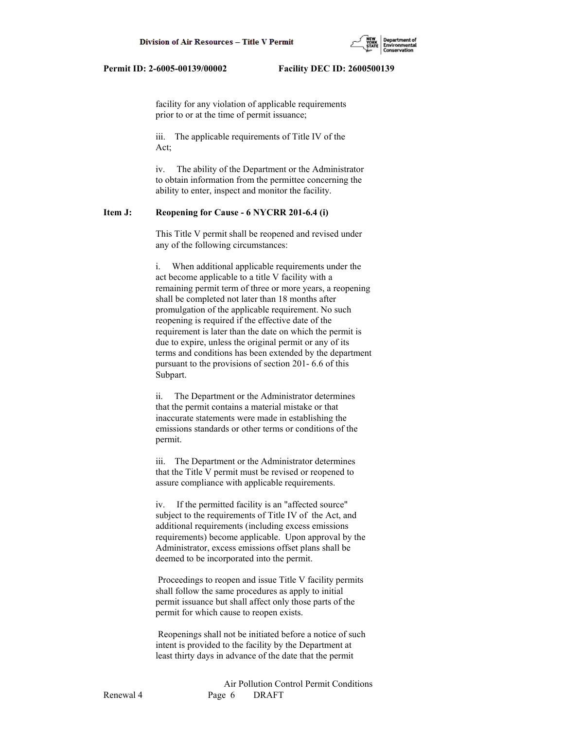



 facility for any violation of applicable requirements prior to or at the time of permit issuance;

 iii. The applicable requirements of Title IV of the Act;

 iv. The ability of the Department or the Administrator to obtain information from the permittee concerning the ability to enter, inspect and monitor the facility.

## **Item J: Reopening for Cause - 6 NYCRR 201-6.4 (i)**

 This Title V permit shall be reopened and revised under any of the following circumstances:

 i. When additional applicable requirements under the act become applicable to a title V facility with a remaining permit term of three or more years, a reopening shall be completed not later than 18 months after promulgation of the applicable requirement. No such reopening is required if the effective date of the requirement is later than the date on which the permit is due to expire, unless the original permit or any of its terms and conditions has been extended by the department pursuant to the provisions of section 201- 6.6 of this Subpart.

 ii. The Department or the Administrator determines that the permit contains a material mistake or that inaccurate statements were made in establishing the emissions standards or other terms or conditions of the permit.

 iii. The Department or the Administrator determines that the Title V permit must be revised or reopened to assure compliance with applicable requirements.

 iv. If the permitted facility is an "affected source" subject to the requirements of Title IV of the Act, and additional requirements (including excess emissions requirements) become applicable. Upon approval by the Administrator, excess emissions offset plans shall be deemed to be incorporated into the permit.

 Proceedings to reopen and issue Title V facility permits shall follow the same procedures as apply to initial permit issuance but shall affect only those parts of the permit for which cause to reopen exists.

 Reopenings shall not be initiated before a notice of such intent is provided to the facility by the Department at least thirty days in advance of the date that the permit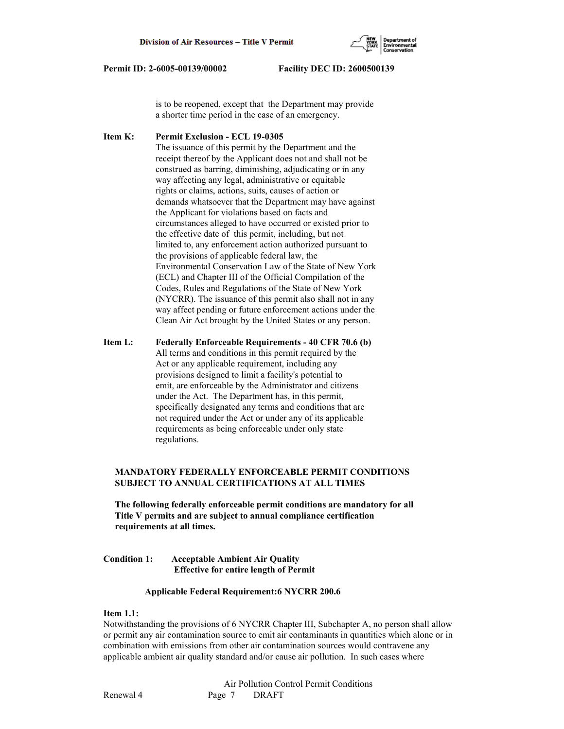

 is to be reopened, except that the Department may provide a shorter time period in the case of an emergency.

**Item K: Permit Exclusion - ECL 19-0305** The issuance of this permit by the Department and the receipt thereof by the Applicant does not and shall not be construed as barring, diminishing, adjudicating or in any way affecting any legal, administrative or equitable rights or claims, actions, suits, causes of action or demands whatsoever that the Department may have against the Applicant for violations based on facts and circumstances alleged to have occurred or existed prior to the effective date of this permit, including, but not limited to, any enforcement action authorized pursuant to the provisions of applicable federal law, the Environmental Conservation Law of the State of New York (ECL) and Chapter III of the Official Compilation of the Codes, Rules and Regulations of the State of New York (NYCRR). The issuance of this permit also shall not in any way affect pending or future enforcement actions under the Clean Air Act brought by the United States or any person.

**Item L: Federally Enforceable Requirements - 40 CFR 70.6 (b)** All terms and conditions in this permit required by the Act or any applicable requirement, including any provisions designed to limit a facility's potential to emit, are enforceable by the Administrator and citizens under the Act. The Department has, in this permit, specifically designated any terms and conditions that are not required under the Act or under any of its applicable requirements as being enforceable under only state regulations.

# **MANDATORY FEDERALLY ENFORCEABLE PERMIT CONDITIONS SUBJECT TO ANNUAL CERTIFICATIONS AT ALL TIMES**

 **The following federally enforceable permit conditions are mandatory for all Title V permits and are subject to annual compliance certification requirements at all times.**

# **Condition 1: Acceptable Ambient Air Quality Effective for entire length of Permit**

## **Applicable Federal Requirement:6 NYCRR 200.6**

## **Item 1.1:**

Notwithstanding the provisions of 6 NYCRR Chapter III, Subchapter A, no person shall allow or permit any air contamination source to emit air contaminants in quantities which alone or in combination with emissions from other air contamination sources would contravene any applicable ambient air quality standard and/or cause air pollution. In such cases where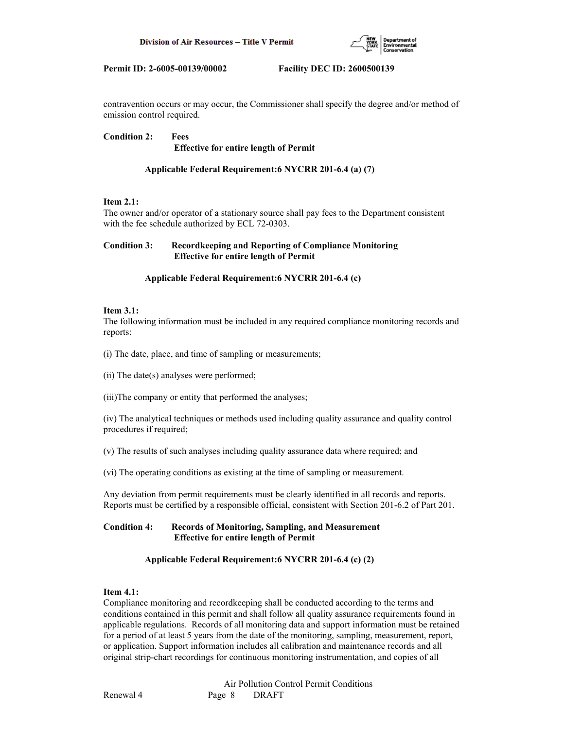

contravention occurs or may occur, the Commissioner shall specify the degree and/or method of emission control required.

**Condition 2: Fees Effective for entire length of Permit**

# **Applicable Federal Requirement:6 NYCRR 201-6.4 (a) (7)**

## **Item 2.1:**

The owner and/or operator of a stationary source shall pay fees to the Department consistent with the fee schedule authorized by ECL 72-0303.

# **Condition 3: Recordkeeping and Reporting of Compliance Monitoring Effective for entire length of Permit**

## **Applicable Federal Requirement:6 NYCRR 201-6.4 (c)**

## **Item 3.1:**

The following information must be included in any required compliance monitoring records and reports:

(i) The date, place, and time of sampling or measurements;

(ii) The date(s) analyses were performed;

(iii)The company or entity that performed the analyses;

(iv) The analytical techniques or methods used including quality assurance and quality control procedures if required;

(v) The results of such analyses including quality assurance data where required; and

(vi) The operating conditions as existing at the time of sampling or measurement.

Any deviation from permit requirements must be clearly identified in all records and reports. Reports must be certified by a responsible official, consistent with Section 201-6.2 of Part 201.

# **Condition 4: Records of Monitoring, Sampling, and Measurement Effective for entire length of Permit**

# **Applicable Federal Requirement:6 NYCRR 201-6.4 (c) (2)**

# **Item 4.1:**

Compliance monitoring and recordkeeping shall be conducted according to the terms and conditions contained in this permit and shall follow all quality assurance requirements found in applicable regulations. Records of all monitoring data and support information must be retained for a period of at least 5 years from the date of the monitoring, sampling, measurement, report, or application. Support information includes all calibration and maintenance records and all original strip-chart recordings for continuous monitoring instrumentation, and copies of all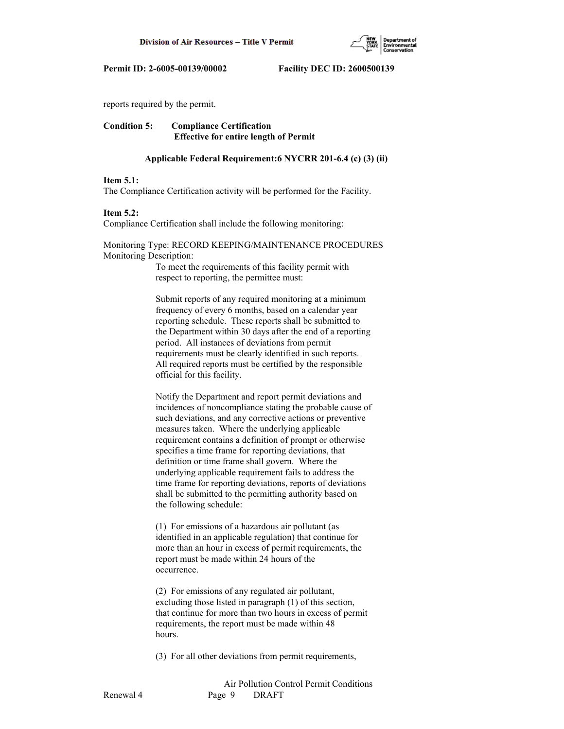

reports required by the permit.

# **Condition 5: Compliance Certification Effective for entire length of Permit**

#### **Applicable Federal Requirement:6 NYCRR 201-6.4 (c) (3) (ii)**

#### **Item 5.1:**

The Compliance Certification activity will be performed for the Facility.

#### **Item 5.2:**

Compliance Certification shall include the following monitoring:

## Monitoring Type: RECORD KEEPING/MAINTENANCE PROCEDURES Monitoring Description:

 To meet the requirements of this facility permit with respect to reporting, the permittee must:

 Submit reports of any required monitoring at a minimum frequency of every 6 months, based on a calendar year reporting schedule. These reports shall be submitted to the Department within 30 days after the end of a reporting period. All instances of deviations from permit requirements must be clearly identified in such reports. All required reports must be certified by the responsible official for this facility.

 Notify the Department and report permit deviations and incidences of noncompliance stating the probable cause of such deviations, and any corrective actions or preventive measures taken. Where the underlying applicable requirement contains a definition of prompt or otherwise specifies a time frame for reporting deviations, that definition or time frame shall govern. Where the underlying applicable requirement fails to address the time frame for reporting deviations, reports of deviations shall be submitted to the permitting authority based on the following schedule:

 (1) For emissions of a hazardous air pollutant (as identified in an applicable regulation) that continue for more than an hour in excess of permit requirements, the report must be made within 24 hours of the occurrence.

 (2) For emissions of any regulated air pollutant, excluding those listed in paragraph (1) of this section, that continue for more than two hours in excess of permit requirements, the report must be made within 48 hours.

(3) For all other deviations from permit requirements,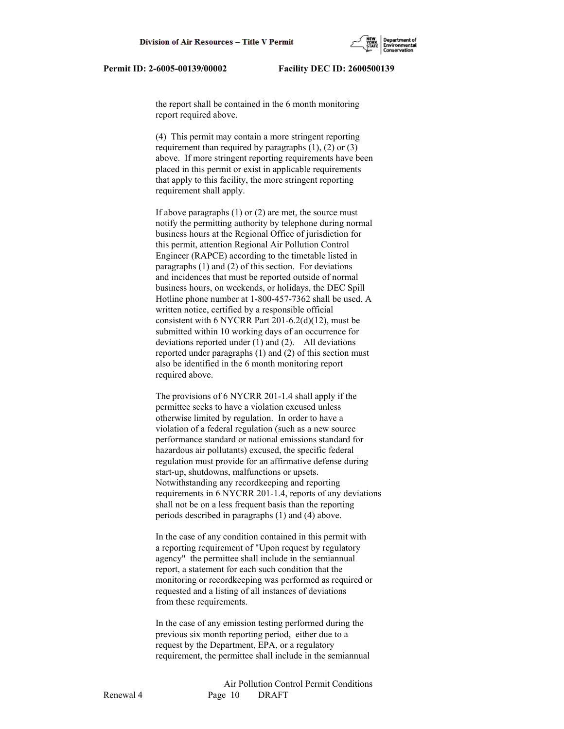the report shall be contained in the 6 month monitoring report required above.

 (4) This permit may contain a more stringent reporting requirement than required by paragraphs  $(1)$ ,  $(2)$  or  $(3)$  above. If more stringent reporting requirements have been placed in this permit or exist in applicable requirements that apply to this facility, the more stringent reporting requirement shall apply.

 If above paragraphs (1) or (2) are met, the source must notify the permitting authority by telephone during normal business hours at the Regional Office of jurisdiction for this permit, attention Regional Air Pollution Control Engineer (RAPCE) according to the timetable listed in paragraphs (1) and (2) of this section. For deviations and incidences that must be reported outside of normal business hours, on weekends, or holidays, the DEC Spill Hotline phone number at 1-800-457-7362 shall be used. A written notice, certified by a responsible official consistent with 6 NYCRR Part 201-6.2(d)(12), must be submitted within 10 working days of an occurrence for deviations reported under (1) and (2). All deviations reported under paragraphs (1) and (2) of this section must also be identified in the 6 month monitoring report required above.

 The provisions of 6 NYCRR 201-1.4 shall apply if the permittee seeks to have a violation excused unless otherwise limited by regulation. In order to have a violation of a federal regulation (such as a new source performance standard or national emissions standard for hazardous air pollutants) excused, the specific federal regulation must provide for an affirmative defense during start-up, shutdowns, malfunctions or upsets. Notwithstanding any recordkeeping and reporting requirements in 6 NYCRR 201-1.4, reports of any deviations shall not be on a less frequent basis than the reporting periods described in paragraphs (1) and (4) above.

 In the case of any condition contained in this permit with a reporting requirement of "Upon request by regulatory agency" the permittee shall include in the semiannual report, a statement for each such condition that the monitoring or recordkeeping was performed as required or requested and a listing of all instances of deviations from these requirements.

 In the case of any emission testing performed during the previous six month reporting period, either due to a request by the Department, EPA, or a regulatory requirement, the permittee shall include in the semiannual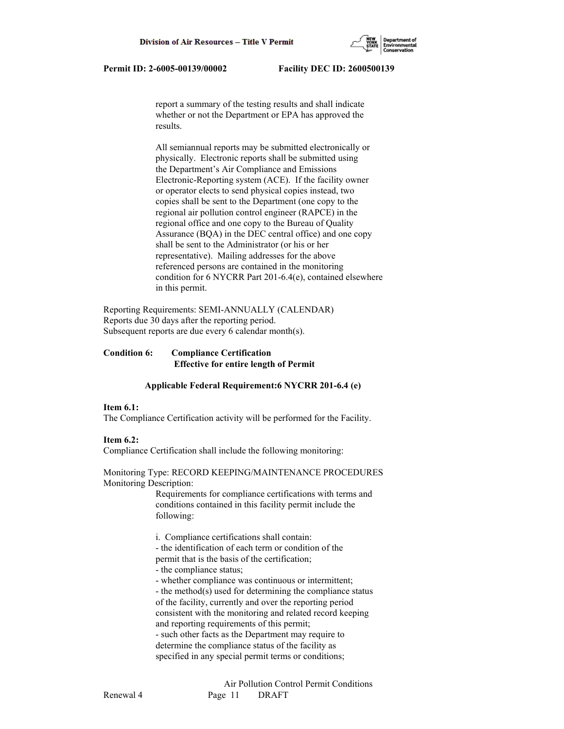report a summary of the testing results and shall indicate whether or not the Department or EPA has approved the results.

 All semiannual reports may be submitted electronically or physically. Electronic reports shall be submitted using the Department's Air Compliance and Emissions Electronic-Reporting system (ACE). If the facility owner or operator elects to send physical copies instead, two copies shall be sent to the Department (one copy to the regional air pollution control engineer (RAPCE) in the regional office and one copy to the Bureau of Quality Assurance (BQA) in the DEC central office) and one copy shall be sent to the Administrator (or his or her representative). Mailing addresses for the above referenced persons are contained in the monitoring condition for 6 NYCRR Part 201-6.4(e), contained elsewhere in this permit.

Reporting Requirements: SEMI-ANNUALLY (CALENDAR) Reports due 30 days after the reporting period. Subsequent reports are due every 6 calendar month(s).

# **Condition 6: Compliance Certification Effective for entire length of Permit**

## **Applicable Federal Requirement:6 NYCRR 201-6.4 (e)**

## **Item 6.1:**

The Compliance Certification activity will be performed for the Facility.

## **Item 6.2:**

Compliance Certification shall include the following monitoring:

#### Monitoring Type: RECORD KEEPING/MAINTENANCE PROCEDURES Monitoring Description:

 Requirements for compliance certifications with terms and conditions contained in this facility permit include the following:

i. Compliance certifications shall contain:

- the identification of each term or condition of the
- permit that is the basis of the certification;
- the compliance status;
- whether compliance was continuous or intermittent;

 - the method(s) used for determining the compliance status of the facility, currently and over the reporting period consistent with the monitoring and related record keeping and reporting requirements of this permit; - such other facts as the Department may require to determine the compliance status of the facility as specified in any special permit terms or conditions;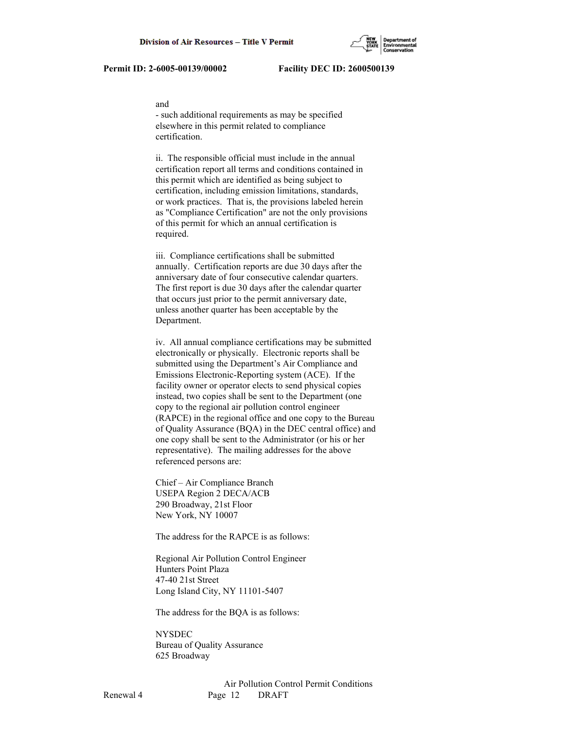#### and

 - such additional requirements as may be specified elsewhere in this permit related to compliance certification.

 ii. The responsible official must include in the annual certification report all terms and conditions contained in this permit which are identified as being subject to certification, including emission limitations, standards, or work practices. That is, the provisions labeled herein as "Compliance Certification" are not the only provisions of this permit for which an annual certification is required.

 iii. Compliance certifications shall be submitted annually. Certification reports are due 30 days after the anniversary date of four consecutive calendar quarters. The first report is due 30 days after the calendar quarter that occurs just prior to the permit anniversary date, unless another quarter has been acceptable by the Department.

 iv. All annual compliance certifications may be submitted electronically or physically. Electronic reports shall be submitted using the Department's Air Compliance and Emissions Electronic-Reporting system (ACE). If the facility owner or operator elects to send physical copies instead, two copies shall be sent to the Department (one copy to the regional air pollution control engineer (RAPCE) in the regional office and one copy to the Bureau of Quality Assurance (BQA) in the DEC central office) and one copy shall be sent to the Administrator (or his or her representative). The mailing addresses for the above referenced persons are:

 Chief – Air Compliance Branch USEPA Region 2 DECA/ACB 290 Broadway, 21st Floor New York, NY 10007

The address for the RAPCE is as follows:

 Regional Air Pollution Control Engineer Hunters Point Plaza 47-40 21st Street Long Island City, NY 11101-5407

The address for the BQA is as follows:

 NYSDEC Bureau of Quality Assurance 625 Broadway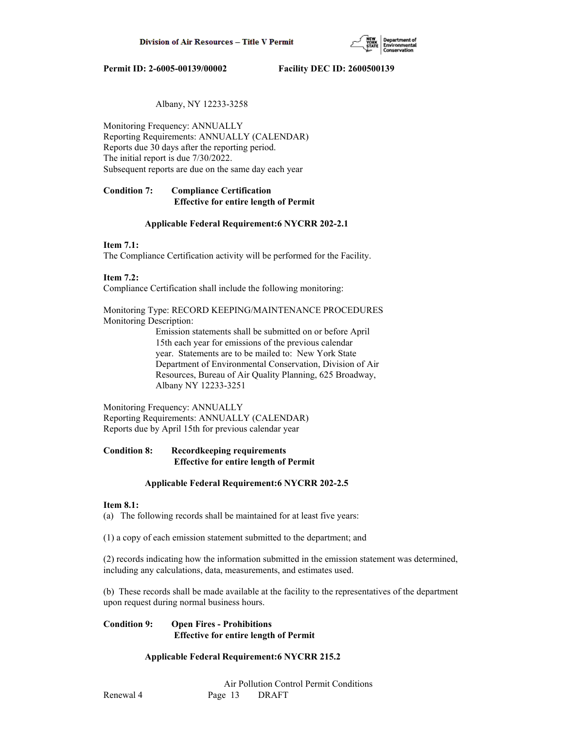

# Albany, NY 12233-3258

Monitoring Frequency: ANNUALLY Reporting Requirements: ANNUALLY (CALENDAR) Reports due 30 days after the reporting period. The initial report is due 7/30/2022. Subsequent reports are due on the same day each year

# **Condition 7: Compliance Certification Effective for entire length of Permit**

## **Applicable Federal Requirement:6 NYCRR 202-2.1**

## **Item 7.1:**

The Compliance Certification activity will be performed for the Facility.

# **Item 7.2:**

Compliance Certification shall include the following monitoring:

Monitoring Type: RECORD KEEPING/MAINTENANCE PROCEDURES Monitoring Description:

> Emission statements shall be submitted on or before April 15th each year for emissions of the previous calendar year. Statements are to be mailed to: New York State Department of Environmental Conservation, Division of Air Resources, Bureau of Air Quality Planning, 625 Broadway, Albany NY 12233-3251

Monitoring Frequency: ANNUALLY Reporting Requirements: ANNUALLY (CALENDAR) Reports due by April 15th for previous calendar year

# **Condition 8: Recordkeeping requirements Effective for entire length of Permit**

## **Applicable Federal Requirement:6 NYCRR 202-2.5**

## **Item 8.1:**

(a) The following records shall be maintained for at least five years:

(1) a copy of each emission statement submitted to the department; and

(2) records indicating how the information submitted in the emission statement was determined, including any calculations, data, measurements, and estimates used.

(b) These records shall be made available at the facility to the representatives of the department upon request during normal business hours.

## **Condition 9: Open Fires - Prohibitions Effective for entire length of Permit**

# **Applicable Federal Requirement:6 NYCRR 215.2**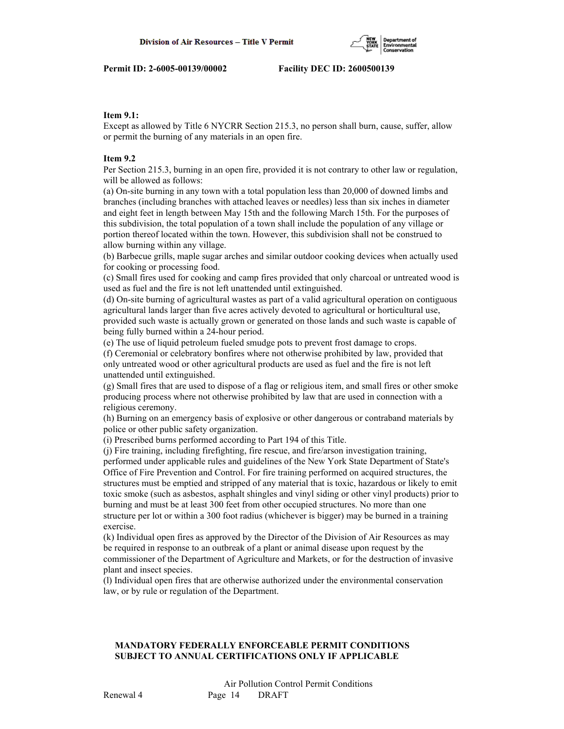

## **Item 9.1:**

Except as allowed by Title 6 NYCRR Section 215.3, no person shall burn, cause, suffer, allow or permit the burning of any materials in an open fire.

# **Item 9.2**

Per Section 215.3, burning in an open fire, provided it is not contrary to other law or regulation, will be allowed as follows:

(a) On-site burning in any town with a total population less than 20,000 of downed limbs and branches (including branches with attached leaves or needles) less than six inches in diameter and eight feet in length between May 15th and the following March 15th. For the purposes of this subdivision, the total population of a town shall include the population of any village or portion thereof located within the town. However, this subdivision shall not be construed to allow burning within any village.

(b) Barbecue grills, maple sugar arches and similar outdoor cooking devices when actually used for cooking or processing food.

(c) Small fires used for cooking and camp fires provided that only charcoal or untreated wood is used as fuel and the fire is not left unattended until extinguished.

(d) On-site burning of agricultural wastes as part of a valid agricultural operation on contiguous agricultural lands larger than five acres actively devoted to agricultural or horticultural use, provided such waste is actually grown or generated on those lands and such waste is capable of being fully burned within a 24-hour period.

(e) The use of liquid petroleum fueled smudge pots to prevent frost damage to crops.

(f) Ceremonial or celebratory bonfires where not otherwise prohibited by law, provided that only untreated wood or other agricultural products are used as fuel and the fire is not left unattended until extinguished.

(g) Small fires that are used to dispose of a flag or religious item, and small fires or other smoke producing process where not otherwise prohibited by law that are used in connection with a religious ceremony.

(h) Burning on an emergency basis of explosive or other dangerous or contraband materials by police or other public safety organization.

(i) Prescribed burns performed according to Part 194 of this Title.

(j) Fire training, including firefighting, fire rescue, and fire/arson investigation training, performed under applicable rules and guidelines of the New York State Department of State's Office of Fire Prevention and Control. For fire training performed on acquired structures, the structures must be emptied and stripped of any material that is toxic, hazardous or likely to emit toxic smoke (such as asbestos, asphalt shingles and vinyl siding or other vinyl products) prior to burning and must be at least 300 feet from other occupied structures. No more than one structure per lot or within a 300 foot radius (whichever is bigger) may be burned in a training exercise.

(k) Individual open fires as approved by the Director of the Division of Air Resources as may be required in response to an outbreak of a plant or animal disease upon request by the commissioner of the Department of Agriculture and Markets, or for the destruction of invasive plant and insect species.

(l) Individual open fires that are otherwise authorized under the environmental conservation law, or by rule or regulation of the Department.

# **MANDATORY FEDERALLY ENFORCEABLE PERMIT CONDITIONS SUBJECT TO ANNUAL CERTIFICATIONS ONLY IF APPLICABLE**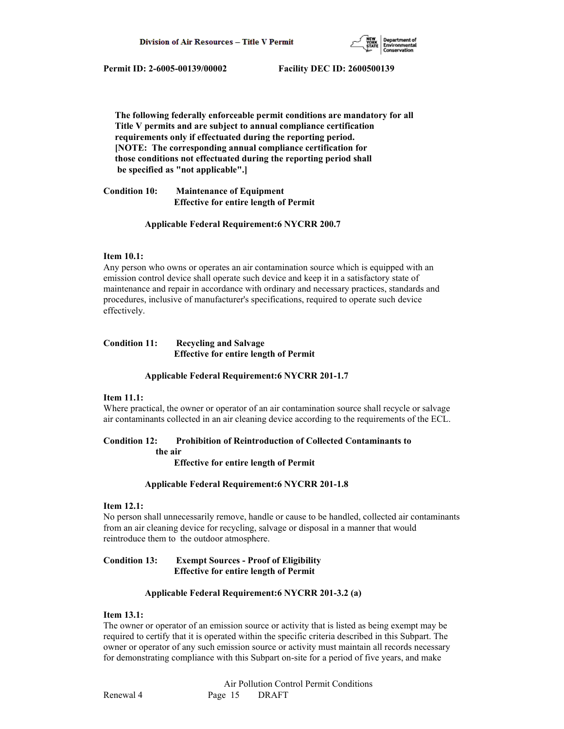

 **The following federally enforceable permit conditions are mandatory for all Title V permits and are subject to annual compliance certification requirements only if effectuated during the reporting period. [NOTE: The corresponding annual compliance certification for those conditions not effectuated during the reporting period shall be specified as "not applicable".]**

**Condition 10: Maintenance of Equipment Effective for entire length of Permit**

## **Applicable Federal Requirement:6 NYCRR 200.7**

## **Item 10.1:**

Any person who owns or operates an air contamination source which is equipped with an emission control device shall operate such device and keep it in a satisfactory state of maintenance and repair in accordance with ordinary and necessary practices, standards and procedures, inclusive of manufacturer's specifications, required to operate such device effectively.

## **Condition 11: Recycling and Salvage Effective for entire length of Permit**

## **Applicable Federal Requirement:6 NYCRR 201-1.7**

# **Item 11.1:**

Where practical, the owner or operator of an air contamination source shall recycle or salvage air contaminants collected in an air cleaning device according to the requirements of the ECL.

## **Condition 12: Prohibition of Reintroduction of Collected Contaminants to**

 **the air**

 **Effective for entire length of Permit**

## **Applicable Federal Requirement:6 NYCRR 201-1.8**

## **Item 12.1:**

No person shall unnecessarily remove, handle or cause to be handled, collected air contaminants from an air cleaning device for recycling, salvage or disposal in a manner that would reintroduce them to the outdoor atmosphere.

## **Condition 13: Exempt Sources - Proof of Eligibility Effective for entire length of Permit**

## **Applicable Federal Requirement:6 NYCRR 201-3.2 (a)**

# **Item 13.1:**

The owner or operator of an emission source or activity that is listed as being exempt may be required to certify that it is operated within the specific criteria described in this Subpart. The owner or operator of any such emission source or activity must maintain all records necessary for demonstrating compliance with this Subpart on-site for a period of five years, and make

 Air Pollution Control Permit Conditions Renewal 4 Page 15 DRAFT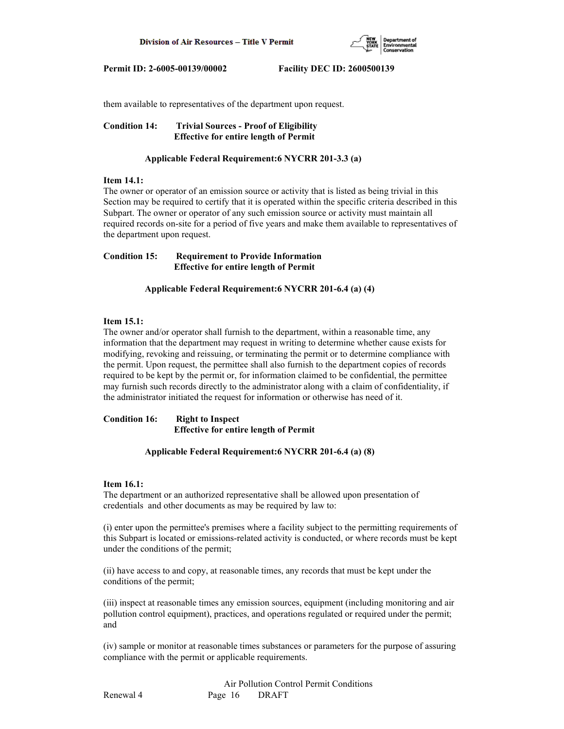

them available to representatives of the department upon request.

**Condition 14: Trivial Sources - Proof of Eligibility Effective for entire length of Permit**

#### **Applicable Federal Requirement:6 NYCRR 201-3.3 (a)**

#### **Item 14.1:**

The owner or operator of an emission source or activity that is listed as being trivial in this Section may be required to certify that it is operated within the specific criteria described in this Subpart. The owner or operator of any such emission source or activity must maintain all required records on-site for a period of five years and make them available to representatives of the department upon request.

**Condition 15: Requirement to Provide Information Effective for entire length of Permit**

 **Applicable Federal Requirement:6 NYCRR 201-6.4 (a) (4)**

## **Item 15.1:**

The owner and/or operator shall furnish to the department, within a reasonable time, any information that the department may request in writing to determine whether cause exists for modifying, revoking and reissuing, or terminating the permit or to determine compliance with the permit. Upon request, the permittee shall also furnish to the department copies of records required to be kept by the permit or, for information claimed to be confidential, the permittee may furnish such records directly to the administrator along with a claim of confidentiality, if the administrator initiated the request for information or otherwise has need of it.

**Condition 16: Right to Inspect Effective for entire length of Permit**

## **Applicable Federal Requirement:6 NYCRR 201-6.4 (a) (8)**

#### **Item 16.1:**

The department or an authorized representative shall be allowed upon presentation of credentials and other documents as may be required by law to:

(i) enter upon the permittee's premises where a facility subject to the permitting requirements of this Subpart is located or emissions-related activity is conducted, or where records must be kept under the conditions of the permit;

(ii) have access to and copy, at reasonable times, any records that must be kept under the conditions of the permit;

(iii) inspect at reasonable times any emission sources, equipment (including monitoring and air pollution control equipment), practices, and operations regulated or required under the permit; and

(iv) sample or monitor at reasonable times substances or parameters for the purpose of assuring compliance with the permit or applicable requirements.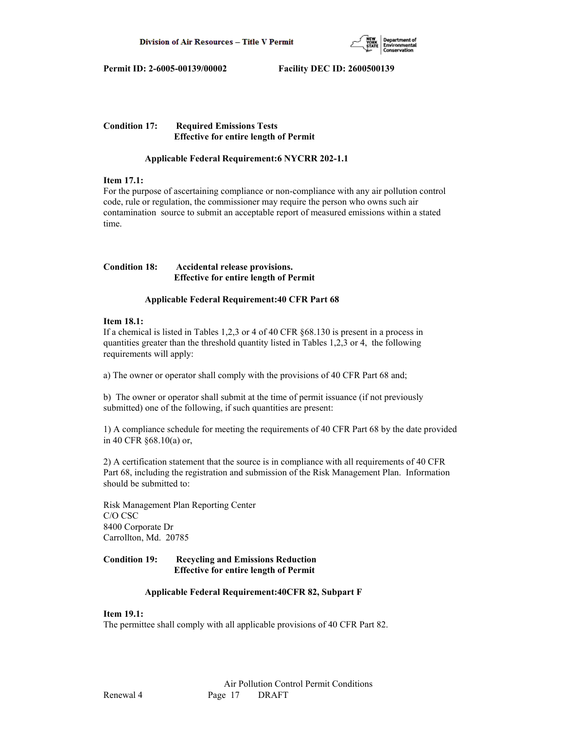

**Condition 17: Required Emissions Tests Effective for entire length of Permit**

# **Applicable Federal Requirement:6 NYCRR 202-1.1**

## **Item 17.1:**

For the purpose of ascertaining compliance or non-compliance with any air pollution control code, rule or regulation, the commissioner may require the person who owns such air contamination source to submit an acceptable report of measured emissions within a stated time.

# **Condition 18: Accidental release provisions. Effective for entire length of Permit**

# **Applicable Federal Requirement:40 CFR Part 68**

# **Item 18.1:**

If a chemical is listed in Tables 1,2,3 or 4 of 40 CFR §68.130 is present in a process in quantities greater than the threshold quantity listed in Tables 1,2,3 or 4, the following requirements will apply:

a) The owner or operator shall comply with the provisions of 40 CFR Part 68 and;

b) The owner or operator shall submit at the time of permit issuance (if not previously submitted) one of the following, if such quantities are present:

1) A compliance schedule for meeting the requirements of 40 CFR Part 68 by the date provided in 40 CFR §68.10(a) or,

2) A certification statement that the source is in compliance with all requirements of 40 CFR Part 68, including the registration and submission of the Risk Management Plan. Information should be submitted to:

Risk Management Plan Reporting Center C/O CSC 8400 Corporate Dr Carrollton, Md. 20785

## **Condition 19: Recycling and Emissions Reduction Effective for entire length of Permit**

# **Applicable Federal Requirement:40CFR 82, Subpart F**

# **Item 19.1:**

The permittee shall comply with all applicable provisions of 40 CFR Part 82.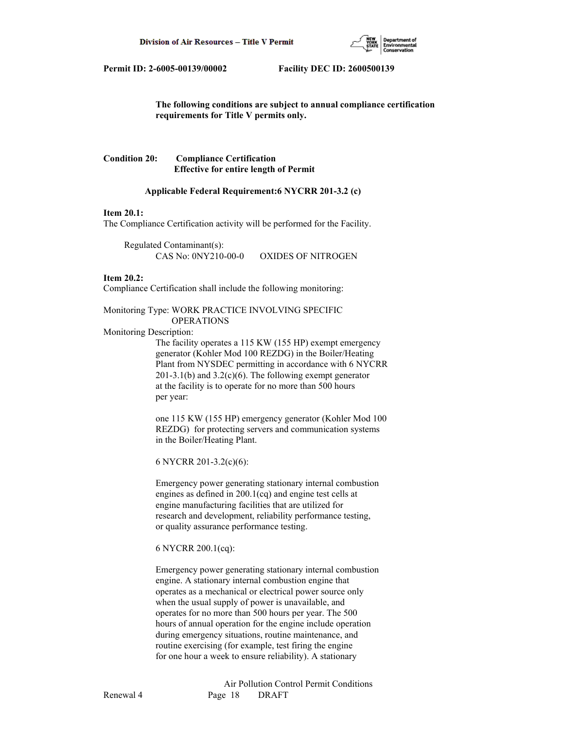

 **The following conditions are subject to annual compliance certification requirements for Title V permits only.**

**Condition 20: Compliance Certification Effective for entire length of Permit**

#### **Applicable Federal Requirement:6 NYCRR 201-3.2 (c)**

#### **Item 20.1:**

The Compliance Certification activity will be performed for the Facility.

 Regulated Contaminant(s): CAS No: 0NY210-00-0 OXIDES OF NITROGEN

## **Item 20.2:**

Compliance Certification shall include the following monitoring:

Monitoring Type: WORK PRACTICE INVOLVING SPECIFIC OPERATIONS

Monitoring Description:

 The facility operates a 115 KW (155 HP) exempt emergency generator (Kohler Mod 100 REZDG) in the Boiler/Heating Plant from NYSDEC permitting in accordance with 6 NYCRR 201-3.1(b) and  $3.2(c)(6)$ . The following exempt generator at the facility is to operate for no more than 500 hours per year:

 one 115 KW (155 HP) emergency generator (Kohler Mod 100 REZDG) for protecting servers and communication systems in the Boiler/Heating Plant.

6 NYCRR 201-3.2(c)(6):

 Emergency power generating stationary internal combustion engines as defined in 200.1(cq) and engine test cells at engine manufacturing facilities that are utilized for research and development, reliability performance testing, or quality assurance performance testing.

6 NYCRR 200.1(cq):

 Emergency power generating stationary internal combustion engine. A stationary internal combustion engine that operates as a mechanical or electrical power source only when the usual supply of power is unavailable, and operates for no more than 500 hours per year. The 500 hours of annual operation for the engine include operation during emergency situations, routine maintenance, and routine exercising (for example, test firing the engine for one hour a week to ensure reliability). A stationary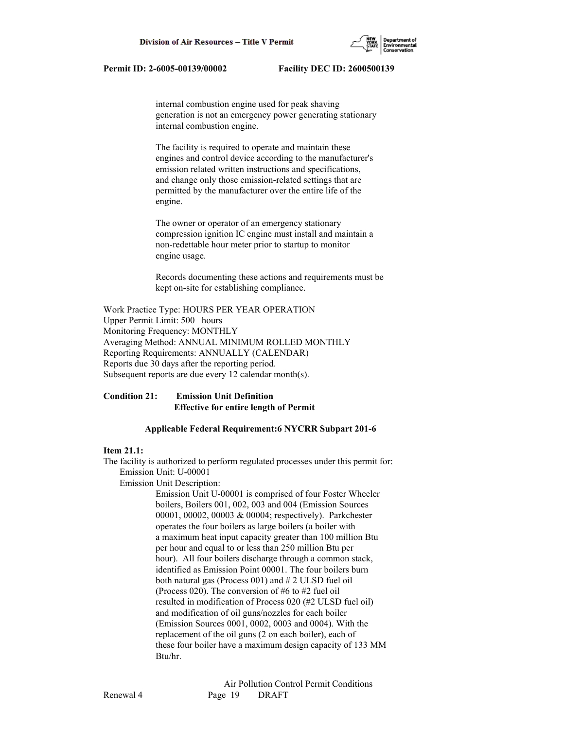internal combustion engine used for peak shaving generation is not an emergency power generating stationary internal combustion engine.

 The facility is required to operate and maintain these engines and control device according to the manufacturer's emission related written instructions and specifications, and change only those emission-related settings that are permitted by the manufacturer over the entire life of the engine.

 The owner or operator of an emergency stationary compression ignition IC engine must install and maintain a non-redettable hour meter prior to startup to monitor engine usage.

 Records documenting these actions and requirements must be kept on-site for establishing compliance.

Work Practice Type: HOURS PER YEAR OPERATION Upper Permit Limit: 500 hours Monitoring Frequency: MONTHLY Averaging Method: ANNUAL MINIMUM ROLLED MONTHLY Reporting Requirements: ANNUALLY (CALENDAR) Reports due 30 days after the reporting period. Subsequent reports are due every 12 calendar month(s).

## **Condition 21: Emission Unit Definition Effective for entire length of Permit**

## **Applicable Federal Requirement:6 NYCRR Subpart 201-6**

## **Item 21.1:**

The facility is authorized to perform regulated processes under this permit for: Emission Unit: U-00001

Emission Unit Description:

 Emission Unit U-00001 is comprised of four Foster Wheeler boilers, Boilers 001, 002, 003 and 004 (Emission Sources 00001, 00002, 00003 & 00004; respectively). Parkchester operates the four boilers as large boilers (a boiler with a maximum heat input capacity greater than 100 million Btu per hour and equal to or less than 250 million Btu per hour). All four boilers discharge through a common stack, identified as Emission Point 00001. The four boilers burn both natural gas (Process 001) and # 2 ULSD fuel oil (Process 020). The conversion of #6 to #2 fuel oil resulted in modification of Process 020 (#2 ULSD fuel oil) and modification of oil guns/nozzles for each boiler (Emission Sources 0001, 0002, 0003 and 0004). With the replacement of the oil guns (2 on each boiler), each of these four boiler have a maximum design capacity of 133 MM Btu/hr.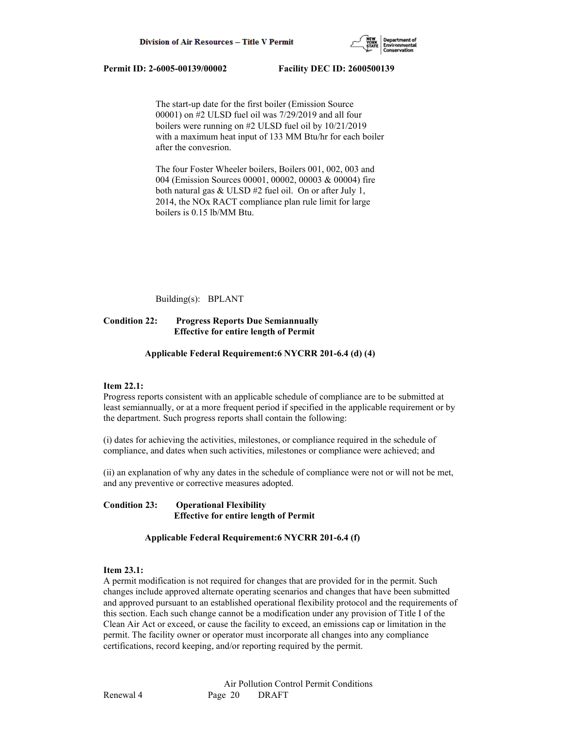

 The start-up date for the first boiler (Emission Source 00001) on #2 ULSD fuel oil was 7/29/2019 and all four boilers were running on #2 ULSD fuel oil by 10/21/2019 with a maximum heat input of 133 MM Btu/hr for each boiler after the convesrion.

 The four Foster Wheeler boilers, Boilers 001, 002, 003 and 004 (Emission Sources 00001, 00002, 00003 & 00004) fire both natural gas & ULSD #2 fuel oil. On or after July 1, 2014, the NOx RACT compliance plan rule limit for large boilers is 0.15 lb/MM Btu.

Building(s): BPLANT

## **Condition 22: Progress Reports Due Semiannually Effective for entire length of Permit**

## **Applicable Federal Requirement:6 NYCRR 201-6.4 (d) (4)**

#### **Item 22.1:**

Progress reports consistent with an applicable schedule of compliance are to be submitted at least semiannually, or at a more frequent period if specified in the applicable requirement or by the department. Such progress reports shall contain the following:

(i) dates for achieving the activities, milestones, or compliance required in the schedule of compliance, and dates when such activities, milestones or compliance were achieved; and

(ii) an explanation of why any dates in the schedule of compliance were not or will not be met, and any preventive or corrective measures adopted.

## **Condition 23: Operational Flexibility Effective for entire length of Permit**

#### **Applicable Federal Requirement:6 NYCRR 201-6.4 (f)**

#### **Item 23.1:**

A permit modification is not required for changes that are provided for in the permit. Such changes include approved alternate operating scenarios and changes that have been submitted and approved pursuant to an established operational flexibility protocol and the requirements of this section. Each such change cannot be a modification under any provision of Title I of the Clean Air Act or exceed, or cause the facility to exceed, an emissions cap or limitation in the permit. The facility owner or operator must incorporate all changes into any compliance certifications, record keeping, and/or reporting required by the permit.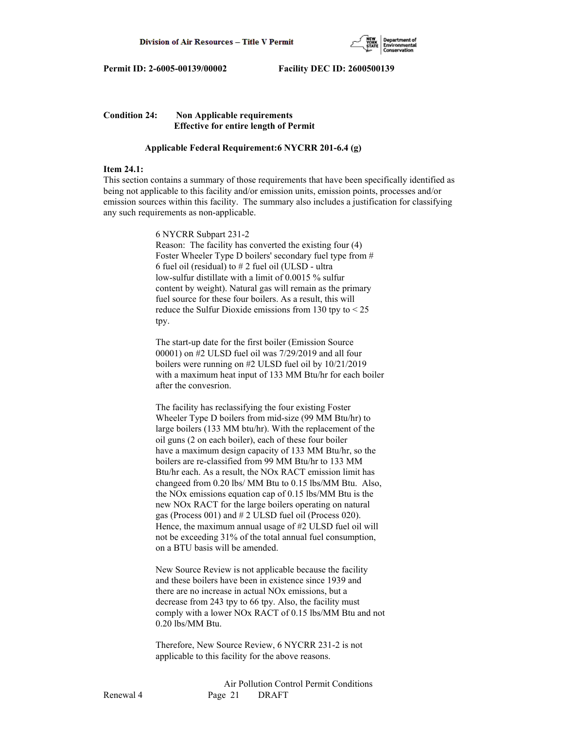

# **Condition 24: Non Applicable requirements Effective for entire length of Permit**

#### **Applicable Federal Requirement:6 NYCRR 201-6.4 (g)**

#### **Item 24.1:**

This section contains a summary of those requirements that have been specifically identified as being not applicable to this facility and/or emission units, emission points, processes and/or emission sources within this facility. The summary also includes a justification for classifying any such requirements as non-applicable.

> 6 NYCRR Subpart 231-2 Reason: The facility has converted the existing four (4) Foster Wheeler Type D boilers' secondary fuel type from # 6 fuel oil (residual) to # 2 fuel oil (ULSD - ultra low-sulfur distillate with a limit of 0.0015 % sulfur content by weight). Natural gas will remain as the primary fuel source for these four boilers. As a result, this will reduce the Sulfur Dioxide emissions from 130 tpy to  $\leq 25$ tpy.

 The start-up date for the first boiler (Emission Source 00001) on #2 ULSD fuel oil was 7/29/2019 and all four boilers were running on #2 ULSD fuel oil by 10/21/2019 with a maximum heat input of 133 MM Btu/hr for each boiler after the convesrion.

 The facility has reclassifying the four existing Foster Wheeler Type D boilers from mid-size (99 MM Btu/hr) to large boilers (133 MM btu/hr). With the replacement of the oil guns (2 on each boiler), each of these four boiler have a maximum design capacity of 133 MM Btu/hr, so the boilers are re-classified from 99 MM Btu/hr to 133 MM Btu/hr each. As a result, the NOx RACT emission limit has changeed from 0.20 lbs/ MM Btu to 0.15 lbs/MM Btu. Also, the NOx emissions equation cap of 0.15 lbs/MM Btu is the new NOx RACT for the large boilers operating on natural gas (Process 001) and # 2 ULSD fuel oil (Process 020). Hence, the maximum annual usage of #2 ULSD fuel oil will not be exceeding 31% of the total annual fuel consumption, on a BTU basis will be amended.

 New Source Review is not applicable because the facility and these boilers have been in existence since 1939 and there are no increase in actual NOx emissions, but a decrease from 243 tpy to 66 tpy. Also, the facility must comply with a lower NOx RACT of 0.15 lbs/MM Btu and not 0.20 lbs/MM Btu.

 Therefore, New Source Review, 6 NYCRR 231-2 is not applicable to this facility for the above reasons.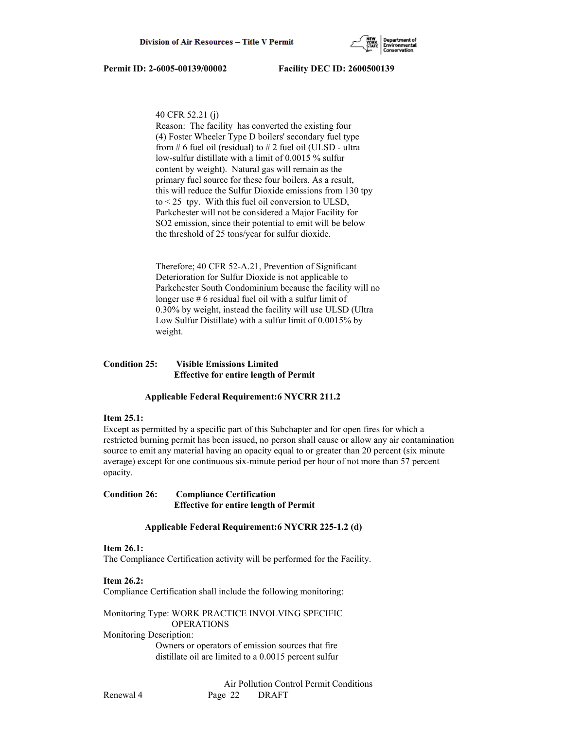

40 CFR 52.21 (j)

 Reason: The facility has converted the existing four (4) Foster Wheeler Type D boilers' secondary fuel type from  $\# 6$  fuel oil (residual) to  $\# 2$  fuel oil (ULSD - ultra low-sulfur distillate with a limit of 0.0015 % sulfur content by weight). Natural gas will remain as the primary fuel source for these four boilers. As a result, this will reduce the Sulfur Dioxide emissions from 130 tpy  $to < 25$  tpy. With this fuel oil conversion to ULSD, Parkchester will not be considered a Major Facility for SO2 emission, since their potential to emit will be below the threshold of 25 tons/year for sulfur dioxide.

 Therefore; 40 CFR 52-A.21, Prevention of Significant Deterioration for Sulfur Dioxide is not applicable to Parkchester South Condominium because the facility will no longer use # 6 residual fuel oil with a sulfur limit of 0.30% by weight, instead the facility will use ULSD (Ultra Low Sulfur Distillate) with a sulfur limit of 0.0015% by weight.

## **Condition 25: Visible Emissions Limited Effective for entire length of Permit**

## **Applicable Federal Requirement:6 NYCRR 211.2**

#### **Item 25.1:**

Except as permitted by a specific part of this Subchapter and for open fires for which a restricted burning permit has been issued, no person shall cause or allow any air contamination source to emit any material having an opacity equal to or greater than 20 percent (six minute average) except for one continuous six-minute period per hour of not more than 57 percent opacity.

## **Condition 26: Compliance Certification Effective for entire length of Permit**

## **Applicable Federal Requirement:6 NYCRR 225-1.2 (d)**

#### **Item 26.1:**

The Compliance Certification activity will be performed for the Facility.

#### **Item 26.2:**

Compliance Certification shall include the following monitoring:

Monitoring Type: WORK PRACTICE INVOLVING SPECIFIC OPERATIONS

Monitoring Description:

 Owners or operators of emission sources that fire distillate oil are limited to a 0.0015 percent sulfur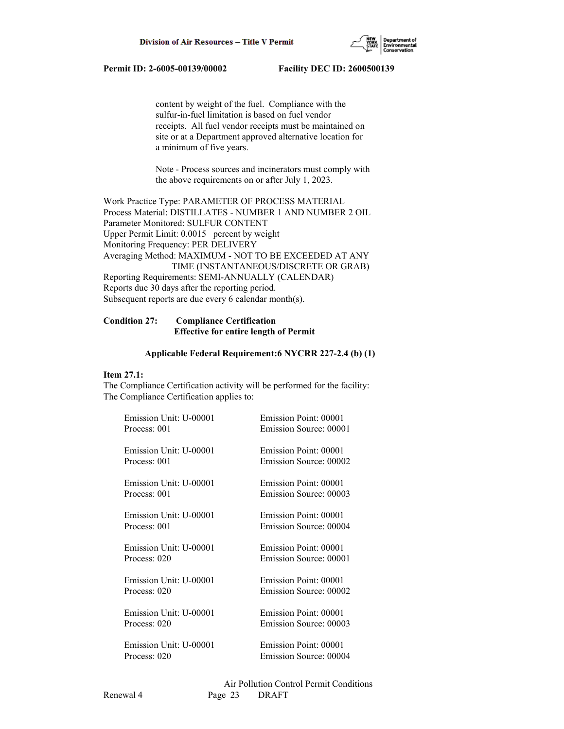

 content by weight of the fuel. Compliance with the sulfur-in-fuel limitation is based on fuel vendor receipts. All fuel vendor receipts must be maintained on site or at a Department approved alternative location for a minimum of five years.

 Note - Process sources and incinerators must comply with the above requirements on or after July 1, 2023.

Work Practice Type: PARAMETER OF PROCESS MATERIAL Process Material: DISTILLATES - NUMBER 1 AND NUMBER 2 OIL Parameter Monitored: SULFUR CONTENT Upper Permit Limit: 0.0015 percent by weight Monitoring Frequency: PER DELIVERY Averaging Method: MAXIMUM - NOT TO BE EXCEEDED AT ANY TIME (INSTANTANEOUS/DISCRETE OR GRAB) Reporting Requirements: SEMI-ANNUALLY (CALENDAR) Reports due 30 days after the reporting period. Subsequent reports are due every 6 calendar month(s).

## **Condition 27: Compliance Certification Effective for entire length of Permit**

#### **Applicable Federal Requirement:6 NYCRR 227-2.4 (b) (1)**

## **Item 27.1:**

The Compliance Certification activity will be performed for the facility: The Compliance Certification applies to:

| Emission Unit: U-00001 | Emission Point: 00001  |
|------------------------|------------------------|
| Process: 001           | Emission Source: 00001 |
| Emission Unit: U-00001 | Emission Point: 00001  |
| Process: 001           | Emission Source: 00002 |
| Emission Unit: U-00001 | Emission Point: 00001  |
| Process: 001           | Emission Source: 00003 |
| Emission Unit: U-00001 | Emission Point: 00001  |
| Process: 001           | Emission Source: 00004 |
| Emission Unit: U-00001 | Emission Point: 00001  |
| Process: 020           | Emission Source: 00001 |
| Emission Unit: U-00001 | Emission Point: 00001  |
| Process: 020           | Emission Source: 00002 |
| Emission Unit: U-00001 | Emission Point: 00001  |
| Process: 020           | Emission Source: 00003 |
| Emission Unit: U-00001 | Emission Point: 00001  |
| Process: 020           | Emission Source: 00004 |

 Air Pollution Control Permit Conditions Renewal 4 Page 23 DRAFT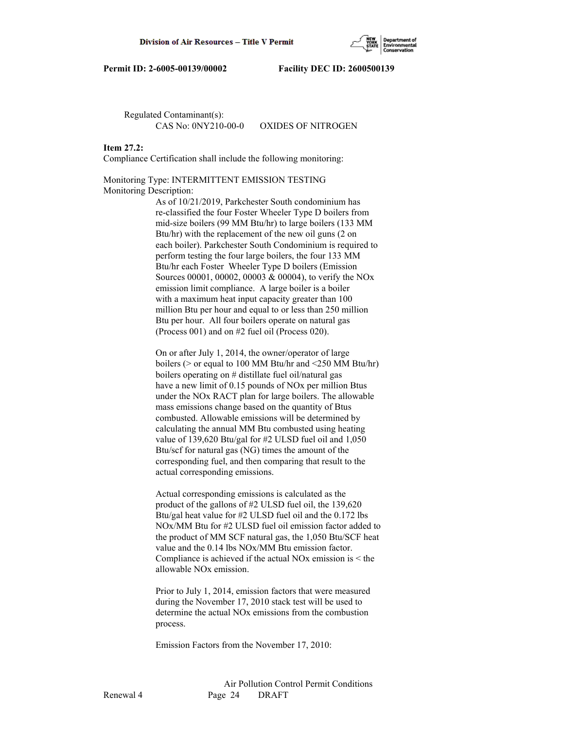

 Regulated Contaminant(s): CAS No: 0NY210-00-0 OXIDES OF NITROGEN

#### **Item 27.2:**

Compliance Certification shall include the following monitoring:

# Monitoring Type: INTERMITTENT EMISSION TESTING Monitoring Description:

 As of 10/21/2019, Parkchester South condominium has re-classified the four Foster Wheeler Type D boilers from mid-size boilers (99 MM Btu/hr) to large boilers (133 MM Btu/hr) with the replacement of the new oil guns (2 on each boiler). Parkchester South Condominium is required to perform testing the four large boilers, the four 133 MM Btu/hr each Foster Wheeler Type D boilers (Emission Sources 00001, 00002, 00003 & 00004), to verify the NOx emission limit compliance. A large boiler is a boiler with a maximum heat input capacity greater than 100 million Btu per hour and equal to or less than 250 million Btu per hour. All four boilers operate on natural gas (Process 001) and on #2 fuel oil (Process 020).

 On or after July 1, 2014, the owner/operator of large boilers (> or equal to 100 MM Btu/hr and <250 MM Btu/hr) boilers operating on # distillate fuel oil/natural gas have a new limit of 0.15 pounds of NOx per million Btus under the NOx RACT plan for large boilers. The allowable mass emissions change based on the quantity of Btus combusted. Allowable emissions will be determined by calculating the annual MM Btu combusted using heating value of 139,620 Btu/gal for #2 ULSD fuel oil and 1,050 Btu/scf for natural gas (NG) times the amount of the corresponding fuel, and then comparing that result to the actual corresponding emissions.

 Actual corresponding emissions is calculated as the product of the gallons of #2 ULSD fuel oil, the 139,620 Btu/gal heat value for #2 ULSD fuel oil and the 0.172 lbs NOx/MM Btu for #2 ULSD fuel oil emission factor added to the product of MM SCF natural gas, the 1,050 Btu/SCF heat value and the 0.14 lbs NOx/MM Btu emission factor. Compliance is achieved if the actual NOx emission is < the allowable NOx emission.

 Prior to July 1, 2014, emission factors that were measured during the November 17, 2010 stack test will be used to determine the actual NOx emissions from the combustion process.

Emission Factors from the November 17, 2010: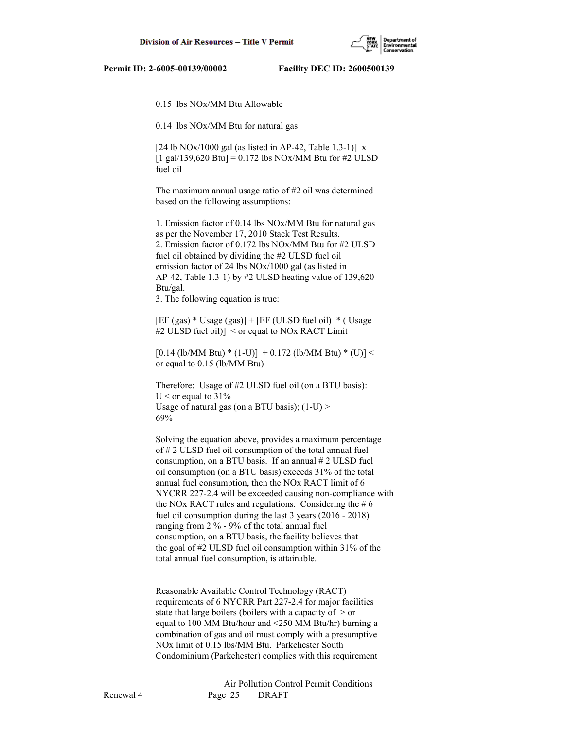0.15 lbs NOx/MM Btu Allowable

0.14 lbs NOx/MM Btu for natural gas

[24 lb NOx/1000 gal (as listed in AP-42, Table 1.3-1)]  $\bar{x}$  $[1 \text{ gal}/139,620 \text{ Btu}] = 0.172 \text{ lbs NOx/MM Btu}$  for #2 ULSD fuel oil

 The maximum annual usage ratio of #2 oil was determined based on the following assumptions:

 1. Emission factor of 0.14 lbs NOx/MM Btu for natural gas as per the November 17, 2010 Stack Test Results. 2. Emission factor of 0.172 lbs NOx/MM Btu for #2 ULSD fuel oil obtained by dividing the #2 ULSD fuel oil emission factor of 24 lbs NOx/1000 gal (as listed in AP-42, Table 1.3-1) by #2 ULSD heating value of 139,620 Btu/gal.

3. The following equation is true:

 $[EF (gas) * Usage (gas)] + [EF (ULSD fuel oil) * (Usage)$ #2 ULSD fuel oil)] < or equal to NOx RACT Limit

 $[0.14$  (lb/MM Btu) \*  $(1-U)] + 0.172$  (lb/MM Btu) \*  $(U)]$  < or equal to 0.15 (lb/MM Btu)

 Therefore: Usage of #2 ULSD fuel oil (on a BTU basis): U  $\le$  or equal to 31% Usage of natural gas (on a BTU basis);  $(1-U)$ 69%

 Solving the equation above, provides a maximum percentage of # 2 ULSD fuel oil consumption of the total annual fuel consumption, on a BTU basis. If an annual # 2 ULSD fuel oil consumption (on a BTU basis) exceeds 31% of the total annual fuel consumption, then the NOx RACT limit of 6 NYCRR 227-2.4 will be exceeded causing non-compliance with the NOx RACT rules and regulations. Considering the  $#6$  fuel oil consumption during the last 3 years (2016 - 2018) ranging from 2 % - 9% of the total annual fuel consumption, on a BTU basis, the facility believes that the goal of #2 ULSD fuel oil consumption within 31% of the total annual fuel consumption, is attainable.

 Reasonable Available Control Technology (RACT) requirements of 6 NYCRR Part 227-2.4 for major facilities state that large boilers (boilers with a capacity of > or equal to 100 MM Btu/hour and <250 MM Btu/hr) burning a combination of gas and oil must comply with a presumptive NOx limit of 0.15 lbs/MM Btu. Parkchester South Condominium (Parkchester) complies with this requirement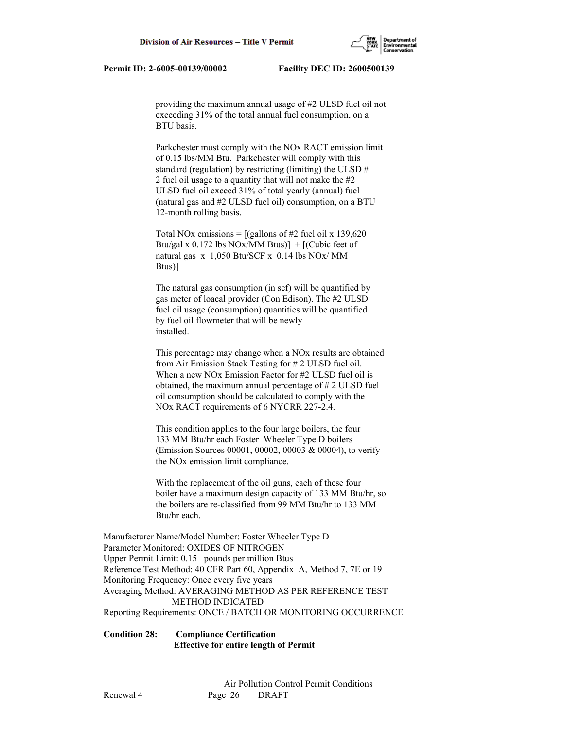

 providing the maximum annual usage of #2 ULSD fuel oil not exceeding 31% of the total annual fuel consumption, on a BTU basis.

 Parkchester must comply with the NOx RACT emission limit of 0.15 lbs/MM Btu. Parkchester will comply with this standard (regulation) by restricting (limiting) the ULSD # 2 fuel oil usage to a quantity that will not make the #2 ULSD fuel oil exceed 31% of total yearly (annual) fuel (natural gas and #2 ULSD fuel oil) consumption, on a BTU 12-month rolling basis.

Total NOx emissions =  $[(\text{gallons of #2 fuel} \text{oil x } 139,620$ Btu/gal x 0.172 lbs NOx/MM Btus)]  $+$  [(Cubic feet of natural gas x 1,050 Btu/SCF x 0.14 lbs NOx/ MM Btus)]

 The natural gas consumption (in scf) will be quantified by gas meter of loacal provider (Con Edison). The #2 ULSD fuel oil usage (consumption) quantities will be quantified by fuel oil flowmeter that will be newly installed.

 This percentage may change when a NOx results are obtained from Air Emission Stack Testing for # 2 ULSD fuel oil. When a new NOx Emission Factor for #2 ULSD fuel oil is obtained, the maximum annual percentage of # 2 ULSD fuel oil consumption should be calculated to comply with the NOx RACT requirements of 6 NYCRR 227-2.4.

 This condition applies to the four large boilers, the four 133 MM Btu/hr each Foster Wheeler Type D boilers (Emission Sources 00001, 00002, 00003 & 00004), to verify the NOx emission limit compliance.

 With the replacement of the oil guns, each of these four boiler have a maximum design capacity of 133 MM Btu/hr, so the boilers are re-classified from 99 MM Btu/hr to 133 MM Btu/hr each.

Manufacturer Name/Model Number: Foster Wheeler Type D Parameter Monitored: OXIDES OF NITROGEN Upper Permit Limit: 0.15 pounds per million Btus Reference Test Method: 40 CFR Part 60, Appendix A, Method 7, 7E or 19 Monitoring Frequency: Once every five years Averaging Method: AVERAGING METHOD AS PER REFERENCE TEST METHOD INDICATED Reporting Requirements: ONCE / BATCH OR MONITORING OCCURRENCE

**Condition 28: Compliance Certification Effective for entire length of Permit**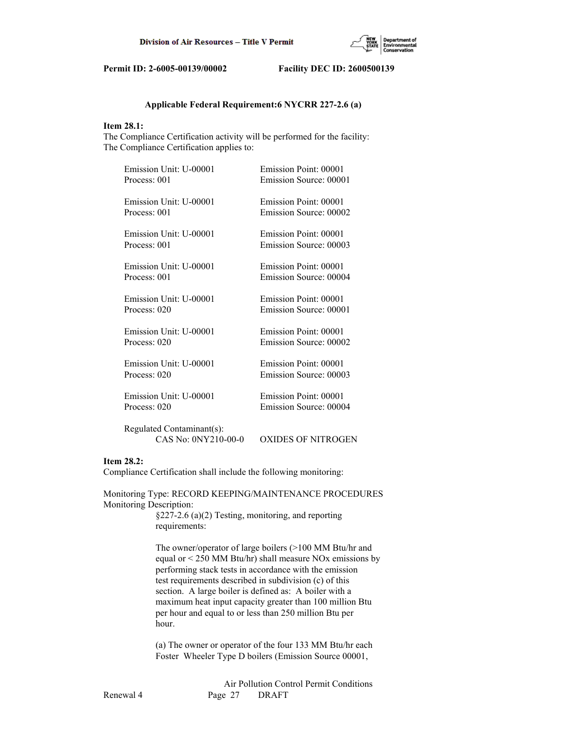

#### **Applicable Federal Requirement:6 NYCRR 227-2.6 (a)**

## **Item 28.1:**

The Compliance Certification activity will be performed for the facility: The Compliance Certification applies to:

| Emission Unit: U-00001<br>Process: 001           | Emission Point: 00001<br>Emission Source: 00001 |
|--------------------------------------------------|-------------------------------------------------|
| Emission Unit: U-00001<br>Process: 001           | Emission Point: 00001<br>Emission Source: 00002 |
| Emission Unit: U-00001<br>Process: 001           | Emission Point: 00001<br>Emission Source: 00003 |
| Emission Unit: U-00001<br>Process: 001           | Emission Point: 00001<br>Emission Source: 00004 |
| Emission Unit: U-00001<br>Process: 020           | Emission Point: 00001<br>Emission Source: 00001 |
| Emission Unit: U-00001<br>Process: 020           | Emission Point: 00001<br>Emission Source: 00002 |
| Emission Unit: U-00001<br>Process: 020           | Emission Point: 00001<br>Emission Source: 00003 |
| Emission Unit: U-00001<br>Process: 020           | Emission Point: 00001<br>Emission Source: 00004 |
| Regulated Contaminant(s):<br>CAS No: 0NY210-00-0 | OXIDES OF NITROGEN                              |

## **Item 28.2:**

Compliance Certification shall include the following monitoring:

# Monitoring Type: RECORD KEEPING/MAINTENANCE PROCEDURES Monitoring Description:

 §227-2.6 (a)(2) Testing, monitoring, and reporting requirements:

 The owner/operator of large boilers (>100 MM Btu/hr and equal or < 250 MM Btu/hr) shall measure NOx emissions by performing stack tests in accordance with the emission test requirements described in subdivision (c) of this section. A large boiler is defined as: A boiler with a maximum heat input capacity greater than 100 million Btu per hour and equal to or less than 250 million Btu per hour.

 (a) The owner or operator of the four 133 MM Btu/hr each Foster Wheeler Type D boilers (Emission Source 00001,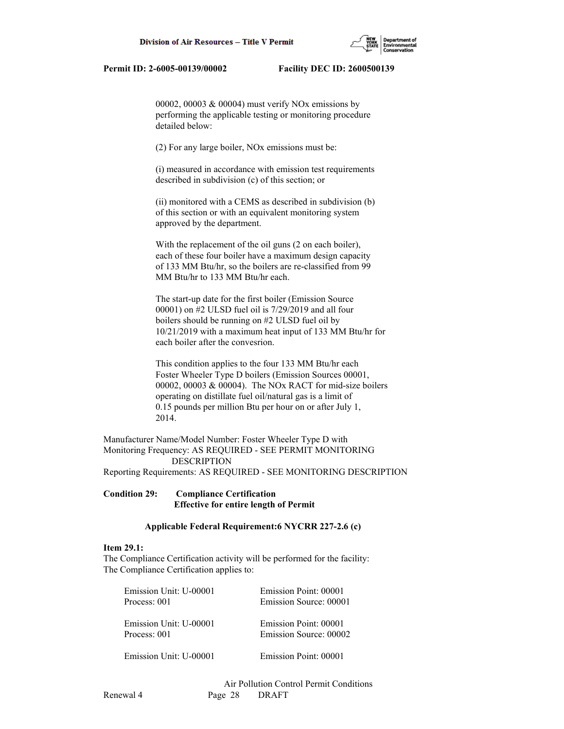00002, 00003 & 00004) must verify NOx emissions by performing the applicable testing or monitoring procedure detailed below:

(2) For any large boiler, NOx emissions must be:

 (i) measured in accordance with emission test requirements described in subdivision (c) of this section; or

 (ii) monitored with a CEMS as described in subdivision (b) of this section or with an equivalent monitoring system approved by the department.

With the replacement of the oil guns (2 on each boiler), each of these four boiler have a maximum design capacity of 133 MM Btu/hr, so the boilers are re-classified from 99 MM Btu/hr to 133 MM Btu/hr each.

 The start-up date for the first boiler (Emission Source 00001) on #2 ULSD fuel oil is 7/29/2019 and all four boilers should be running on #2 ULSD fuel oil by 10/21/2019 with a maximum heat input of 133 MM Btu/hr for each boiler after the convesrion.

 This condition applies to the four 133 MM Btu/hr each Foster Wheeler Type D boilers (Emission Sources 00001, 00002, 00003 & 00004). The NOx RACT for mid-size boilers operating on distillate fuel oil/natural gas is a limit of 0.15 pounds per million Btu per hour on or after July 1, 2014.

Manufacturer Name/Model Number: Foster Wheeler Type D with Monitoring Frequency: AS REQUIRED - SEE PERMIT MONITORING DESCRIPTION Reporting Requirements: AS REQUIRED - SEE MONITORING DESCRIPTION

#### **Condition 29: Compliance Certification Effective for entire length of Permit**

#### **Applicable Federal Requirement:6 NYCRR 227-2.6 (c)**

## **Item 29.1:**

The Compliance Certification activity will be performed for the facility: The Compliance Certification applies to:

| Emission Unit: U-00001 | Emission Point: 00001  |
|------------------------|------------------------|
| Process: 001           | Emission Source: 00001 |
| Emission Unit: U-00001 | Emission Point: 00001  |
| Process: 001           | Emission Source: 00002 |
| Emission Unit: U-00001 | Emission Point: 00001  |

 Air Pollution Control Permit Conditions Renewal 4 Page 28 DRAFT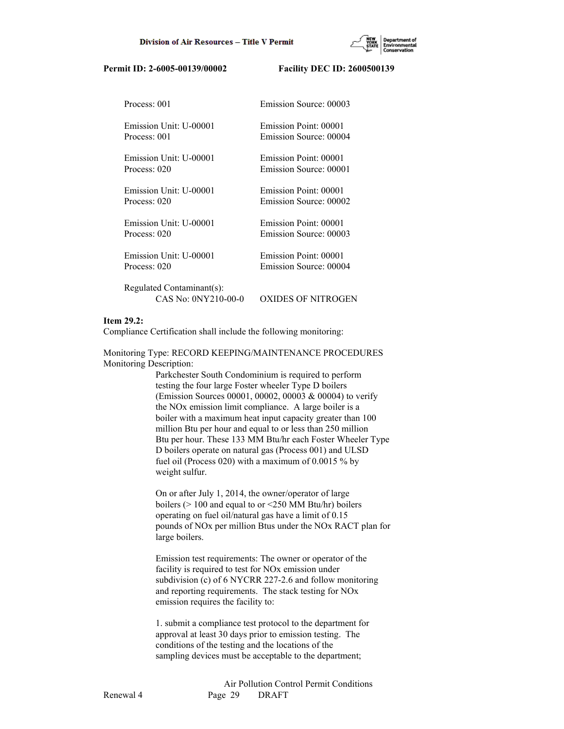| Process: 001                                     | Emission Source: 00003                          |
|--------------------------------------------------|-------------------------------------------------|
| Emission Unit: U-00001<br>Process: 001           | Emission Point: 00001<br>Emission Source: 00004 |
| Emission Unit: U-00001<br>Process: 020           | Emission Point: 00001<br>Emission Source: 00001 |
| Emission Unit: U-00001<br>Process: 020           | Emission Point: 00001<br>Emission Source: 00002 |
| Emission Unit: U-00001<br>Process: 020           | Emission Point: 00001<br>Emission Source: 00003 |
| Emission Unit: U-00001<br>Process: 020           | Emission Point: 00001<br>Emission Source: 00004 |
| Regulated Contaminant(s):<br>CAS No: 0NY210-00-0 | OXIDES OF NITROGEN                              |

## **Item 29.2:**

Compliance Certification shall include the following monitoring:

Monitoring Type: RECORD KEEPING/MAINTENANCE PROCEDURES Monitoring Description:

> Parkchester South Condominium is required to perform testing the four large Foster wheeler Type D boilers (Emission Sources 00001, 00002, 00003 & 00004) to verify the NOx emission limit compliance. A large boiler is a boiler with a maximum heat input capacity greater than 100 million Btu per hour and equal to or less than 250 million Btu per hour. These 133 MM Btu/hr each Foster Wheeler Type D boilers operate on natural gas (Process 001) and ULSD fuel oil (Process 020) with a maximum of 0.0015 % by weight sulfur.

> On or after July 1, 2014, the owner/operator of large boilers ( $> 100$  and equal to or  $\leq 250$  MM Btu/hr) boilers operating on fuel oil/natural gas have a limit of 0.15 pounds of NOx per million Btus under the NOx RACT plan for large boilers.

 Emission test requirements: The owner or operator of the facility is required to test for NOx emission under subdivision (c) of 6 NYCRR 227-2.6 and follow monitoring and reporting requirements. The stack testing for NOx emission requires the facility to:

 1. submit a compliance test protocol to the department for approval at least 30 days prior to emission testing. The conditions of the testing and the locations of the sampling devices must be acceptable to the department;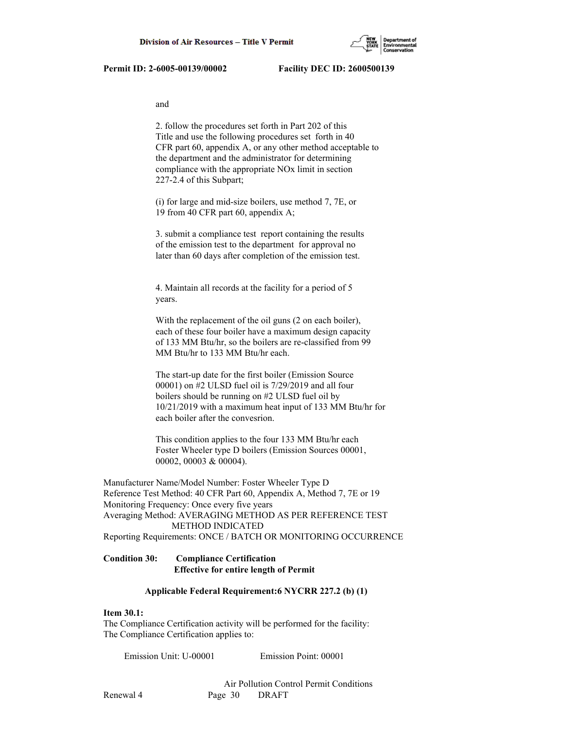and

 2. follow the procedures set forth in Part 202 of this Title and use the following procedures set forth in 40 CFR part 60, appendix A, or any other method acceptable to the department and the administrator for determining compliance with the appropriate NOx limit in section 227-2.4 of this Subpart;

 (i) for large and mid-size boilers, use method 7, 7E, or 19 from 40 CFR part 60, appendix A;

 3. submit a compliance test report containing the results of the emission test to the department for approval no later than 60 days after completion of the emission test.

 4. Maintain all records at the facility for a period of 5 years.

 With the replacement of the oil guns (2 on each boiler), each of these four boiler have a maximum design capacity of 133 MM Btu/hr, so the boilers are re-classified from 99 MM Btu/hr to 133 MM Btu/hr each.

 The start-up date for the first boiler (Emission Source 00001) on #2 ULSD fuel oil is 7/29/2019 and all four boilers should be running on #2 ULSD fuel oil by 10/21/2019 with a maximum heat input of 133 MM Btu/hr for each boiler after the convesrion.

 This condition applies to the four 133 MM Btu/hr each Foster Wheeler type D boilers (Emission Sources 00001, 00002, 00003 & 00004).

Manufacturer Name/Model Number: Foster Wheeler Type D Reference Test Method: 40 CFR Part 60, Appendix A, Method 7, 7E or 19 Monitoring Frequency: Once every five years Averaging Method: AVERAGING METHOD AS PER REFERENCE TEST METHOD INDICATED Reporting Requirements: ONCE / BATCH OR MONITORING OCCURRENCE

## **Condition 30: Compliance Certification Effective for entire length of Permit**

## **Applicable Federal Requirement:6 NYCRR 227.2 (b) (1)**

## **Item 30.1:**

The Compliance Certification activity will be performed for the facility: The Compliance Certification applies to:

Emission Unit: U-00001 Emission Point: 00001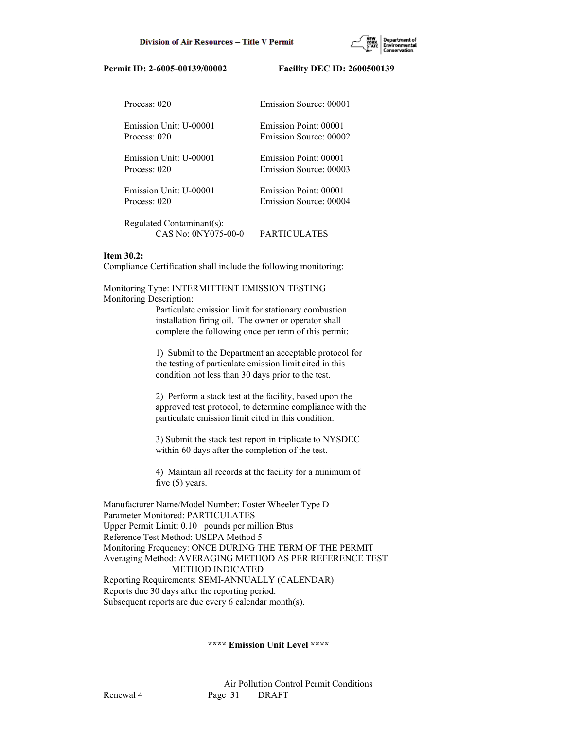

| Process: $020$                                   | Emission Source: 00001 |
|--------------------------------------------------|------------------------|
| Emission Unit: U-00001                           | Emission Point: 00001  |
| Process: 020                                     | Emission Source: 00002 |
| Emission Unit: U-00001                           | Emission Point: 00001  |
| Process: $020$                                   | Emission Source: 00003 |
| Emission Unit: U-00001                           | Emission Point: 00001  |
| Process: 020                                     | Emission Source: 00004 |
| Regulated Contaminant(s):<br>CAS No: 0NY075-00-0 | PARTICULATES           |

#### **Item 30.2:**

Compliance Certification shall include the following monitoring:

## Monitoring Type: INTERMITTENT EMISSION TESTING Monitoring Description:

 Particulate emission limit for stationary combustion installation firing oil. The owner or operator shall complete the following once per term of this permit:

 1) Submit to the Department an acceptable protocol for the testing of particulate emission limit cited in this condition not less than 30 days prior to the test.

 2) Perform a stack test at the facility, based upon the approved test protocol, to determine compliance with the particulate emission limit cited in this condition.

 3) Submit the stack test report in triplicate to NYSDEC within 60 days after the completion of the test.

 4) Maintain all records at the facility for a minimum of five (5) years.

Manufacturer Name/Model Number: Foster Wheeler Type D Parameter Monitored: PARTICULATES Upper Permit Limit: 0.10 pounds per million Btus Reference Test Method: USEPA Method 5 Monitoring Frequency: ONCE DURING THE TERM OF THE PERMIT Averaging Method: AVERAGING METHOD AS PER REFERENCE TEST METHOD INDICATED Reporting Requirements: SEMI-ANNUALLY (CALENDAR) Reports due 30 days after the reporting period. Subsequent reports are due every 6 calendar month(s).

## **\*\*\*\* Emission Unit Level \*\*\*\***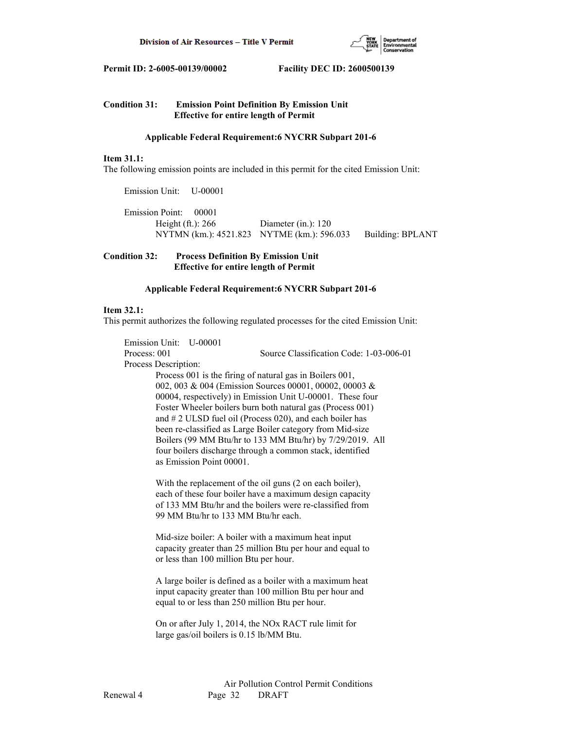

# **Condition 31: Emission Point Definition By Emission Unit Effective for entire length of Permit**

#### **Applicable Federal Requirement:6 NYCRR Subpart 201-6**

#### **Item 31.1:**

The following emission points are included in this permit for the cited Emission Unit:

Emission Unit: U-00001

 Emission Point: 00001 Height (ft.): 266 Diameter (in.): 120 NYTMN (km.): 4521.823 NYTME (km.): 596.033 Building: BPLANT

# **Condition 32: Process Definition By Emission Unit Effective for entire length of Permit**

#### **Applicable Federal Requirement:6 NYCRR Subpart 201-6**

#### **Item 32.1:**

This permit authorizes the following regulated processes for the cited Emission Unit:

 Emission Unit: U-00001 Process: 001 Source Classification Code: 1-03-006-01 Process Description: Process 001 is the firing of natural gas in Boilers 001, 002, 003 & 004 (Emission Sources 00001, 00002, 00003 & 00004, respectively) in Emission Unit U-00001. These four Foster Wheeler boilers burn both natural gas (Process 001) and # 2 ULSD fuel oil (Process 020), and each boiler has been re-classified as Large Boiler category from Mid-size Boilers (99 MM Btu/hr to 133 MM Btu/hr) by 7/29/2019. All four boilers discharge through a common stack, identified as Emission Point 00001. With the replacement of the oil guns (2 on each boiler), each of these four boiler have a maximum design capacity of 133 MM Btu/hr and the boilers were re-classified from 99 MM Btu/hr to 133 MM Btu/hr each. Mid-size boiler: A boiler with a maximum heat input capacity greater than 25 million Btu per hour and equal to or less than 100 million Btu per hour. A large boiler is defined as a boiler with a maximum heat input capacity greater than 100 million Btu per hour and equal to or less than 250 million Btu per hour. On or after July 1, 2014, the NOx RACT rule limit for large gas/oil boilers is 0.15 lb/MM Btu.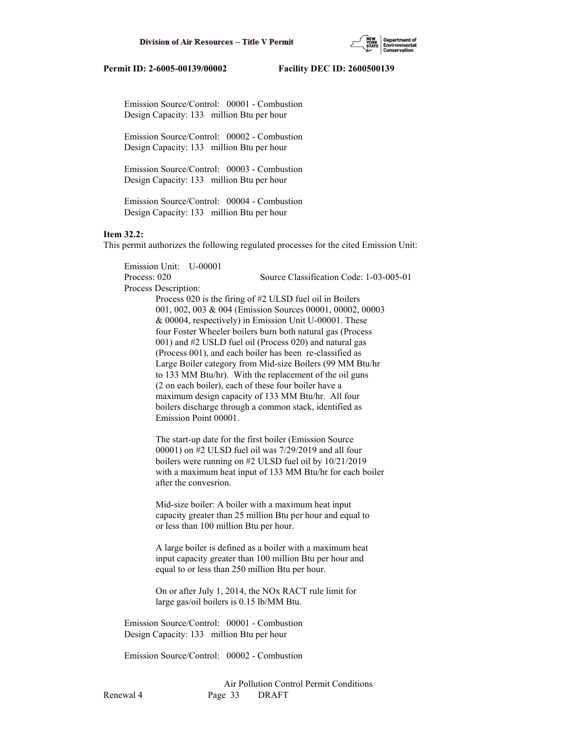Emission Source/Control: 00001 - Combustion Design Capacity: 133 million Btu per hour

 Emission Source/Control: 00002 - Combustion Design Capacity: 133 million Btu per hour

 Emission Source/Control: 00003 - Combustion Design Capacity: 133 million Btu per hour

 Emission Source/Control: 00004 - Combustion Design Capacity: 133 million Btu per hour

#### **Item 32.2:**

This permit authorizes the following regulated processes for the cited Emission Unit:

 Emission Unit: U-00001 Process: 020 Source Classification Code: 1-03-005-01 Process Description: Process 020 is the firing of #2 ULSD fuel oil in Boilers 001, 002, 003 & 004 (Emission Sources 00001, 00002, 00003 & 00004, respectively) in Emission Unit U-00001. These four Foster Wheeler boilers burn both natural gas (Process 001) and #2 USLD fuel oil (Process 020) and natural gas (Process 001), and each boiler has been re-classified as Large Boiler category from Mid-size Boilers (99 MM Btu/hr to 133 MM Btu/hr). With the replacement of the oil guns (2 on each boiler), each of these four boiler have a maximum design capacity of 133 MM Btu/hr. All four boilers discharge through a common stack, identified as Emission Point 00001.

> The start-up date for the first boiler (Emission Source 00001) on #2 ULSD fuel oil was 7/29/2019 and all four boilers were running on #2 ULSD fuel oil by 10/21/2019 with a maximum heat input of 133 MM Btu/hr for each boiler after the convesrion.

 Mid-size boiler: A boiler with a maximum heat input capacity greater than 25 million Btu per hour and equal to or less than 100 million Btu per hour.

 A large boiler is defined as a boiler with a maximum heat input capacity greater than 100 million Btu per hour and equal to or less than 250 million Btu per hour.

 On or after July 1, 2014, the NOx RACT rule limit for large gas/oil boilers is 0.15 lb/MM Btu.

 Emission Source/Control: 00001 - Combustion Design Capacity: 133 million Btu per hour

Emission Source/Control: 00002 - Combustion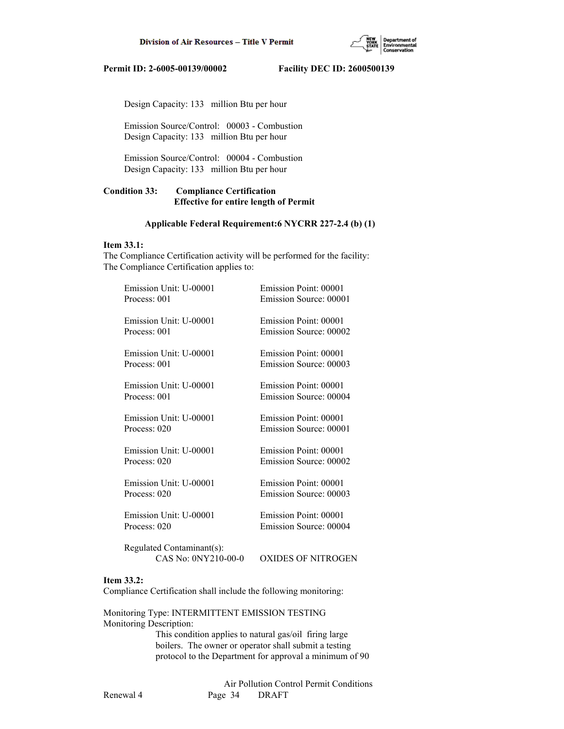Design Capacity: 133 million Btu per hour

 Emission Source/Control: 00003 - Combustion Design Capacity: 133 million Btu per hour

 Emission Source/Control: 00004 - Combustion Design Capacity: 133 million Btu per hour

# **Condition 33: Compliance Certification Effective for entire length of Permit**

# **Applicable Federal Requirement:6 NYCRR 227-2.4 (b) (1)**

#### **Item 33.1:**

The Compliance Certification activity will be performed for the facility: The Compliance Certification applies to:

| Emission Unit: U-00001<br>Process: 001           | Emission Point: 00001<br>Emission Source: 00001 |
|--------------------------------------------------|-------------------------------------------------|
| Emission Unit: U-00001<br>Process: 001           | Emission Point: 00001<br>Emission Source: 00002 |
| Emission Unit: U-00001<br>Process: 001           | Emission Point: 00001<br>Emission Source: 00003 |
| Emission Unit: U-00001<br>Process: 001           | Emission Point: 00001<br>Emission Source: 00004 |
| Emission Unit: U-00001<br>Process: 020           | Emission Point: 00001<br>Emission Source: 00001 |
| Emission Unit: U-00001<br>Process: 020           | Emission Point: 00001<br>Emission Source: 00002 |
| Emission Unit: U-00001<br>Process: 020           | Emission Point: 00001<br>Emission Source: 00003 |
| Emission Unit: U-00001<br>Process: 020           | Emission Point: 00001<br>Emission Source: 00004 |
| Regulated Contaminant(s):<br>CAS No: 0NY210-00-0 | <b>OXIDES OF NITROGEN</b>                       |

#### **Item 33.2:**

Compliance Certification shall include the following monitoring:

Monitoring Type: INTERMITTENT EMISSION TESTING Monitoring Description:

> This condition applies to natural gas/oil firing large boilers. The owner or operator shall submit a testing protocol to the Department for approval a minimum of 90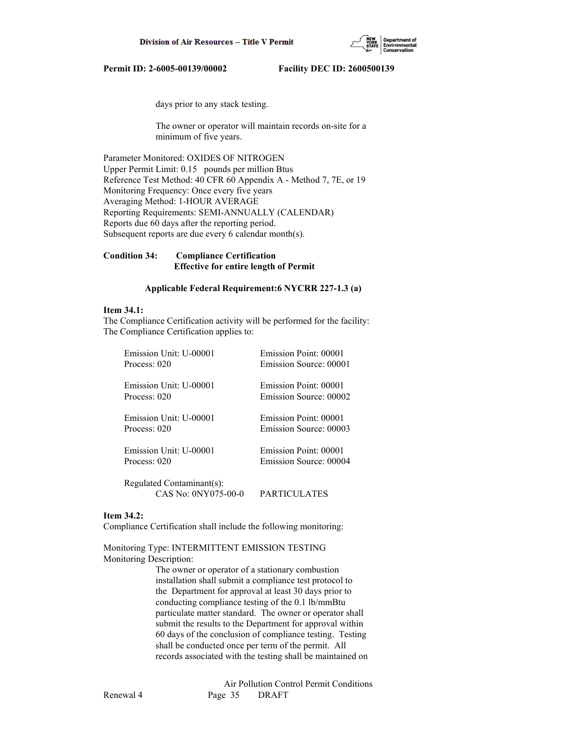

days prior to any stack testing.

 The owner or operator will maintain records on-site for a minimum of five years.

Parameter Monitored: OXIDES OF NITROGEN Upper Permit Limit: 0.15 pounds per million Btus Reference Test Method: 40 CFR 60 Appendix A - Method 7, 7E, or 19 Monitoring Frequency: Once every five years Averaging Method: 1-HOUR AVERAGE Reporting Requirements: SEMI-ANNUALLY (CALENDAR) Reports due 60 days after the reporting period. Subsequent reports are due every 6 calendar month(s).

**Condition 34: Compliance Certification Effective for entire length of Permit**

#### **Applicable Federal Requirement:6 NYCRR 227-1.3 (a)**

#### **Item 34.1:**

The Compliance Certification activity will be performed for the facility: The Compliance Certification applies to:

| Emission Unit: U-00001<br>Process: 020           | Emission Point: 00001<br>Emission Source: 00001 |
|--------------------------------------------------|-------------------------------------------------|
| Emission Unit: U-00001<br>Process: 020           | Emission Point: 00001<br>Emission Source: 00002 |
| Emission Unit: U-00001<br>Process: 020           | Emission Point: 00001<br>Emission Source: 00003 |
| Emission Unit: U-00001<br>Process: 020           | Emission Point: 00001<br>Emission Source: 00004 |
| Regulated Contaminant(s):<br>CAS No: 0NY075-00-0 | <b>PARTICULATES</b>                             |

#### **Item 34.2:**

Compliance Certification shall include the following monitoring:

## Monitoring Type: INTERMITTENT EMISSION TESTING Monitoring Description:

 The owner or operator of a stationary combustion installation shall submit a compliance test protocol to the Department for approval at least 30 days prior to conducting compliance testing of the 0.1 lb/mmBtu particulate matter standard. The owner or operator shall submit the results to the Department for approval within 60 days of the conclusion of compliance testing. Testing shall be conducted once per term of the permit. All records associated with the testing shall be maintained on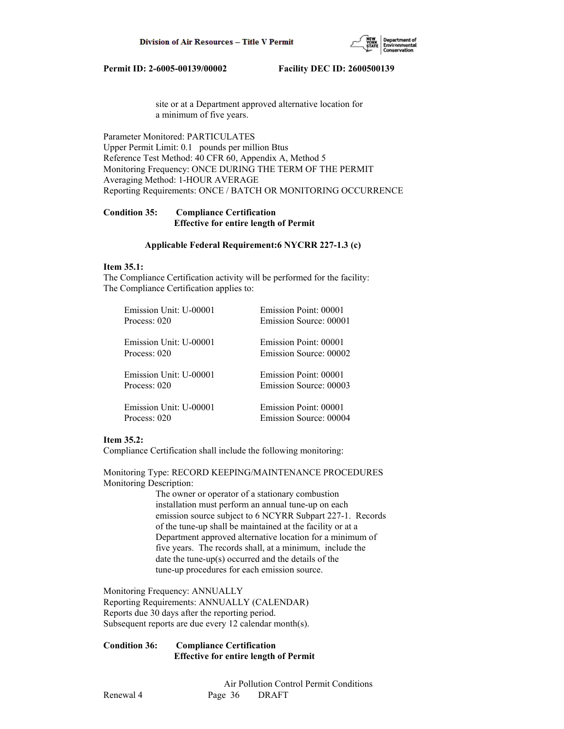

 site or at a Department approved alternative location for a minimum of five years.

Parameter Monitored: PARTICULATES Upper Permit Limit: 0.1 pounds per million Btus Reference Test Method: 40 CFR 60, Appendix A, Method 5 Monitoring Frequency: ONCE DURING THE TERM OF THE PERMIT Averaging Method: 1-HOUR AVERAGE Reporting Requirements: ONCE / BATCH OR MONITORING OCCURRENCE

# **Condition 35: Compliance Certification Effective for entire length of Permit**

#### **Applicable Federal Requirement:6 NYCRR 227-1.3 (c)**

#### **Item 35.1:**

The Compliance Certification activity will be performed for the facility: The Compliance Certification applies to:

| Emission Unit: U-00001 | Emission Point: 00001  |
|------------------------|------------------------|
| Process: 020           | Emission Source: 00001 |
| Emission Unit: U-00001 | Emission Point: 00001  |
| Process: 020           | Emission Source: 00002 |
| Emission Unit: U-00001 | Emission Point: 00001  |
| Process: 020           | Emission Source: 00003 |
| Emission Unit: U-00001 | Emission Point: 00001  |
| Process: 020           | Emission Source: 00004 |

#### **Item 35.2:**

Compliance Certification shall include the following monitoring:

Monitoring Type: RECORD KEEPING/MAINTENANCE PROCEDURES Monitoring Description:

> The owner or operator of a stationary combustion installation must perform an annual tune-up on each emission source subject to 6 NCYRR Subpart 227-1. Records of the tune-up shall be maintained at the facility or at a Department approved alternative location for a minimum of five years. The records shall, at a minimum, include the date the tune-up(s) occurred and the details of the tune-up procedures for each emission source.

Monitoring Frequency: ANNUALLY Reporting Requirements: ANNUALLY (CALENDAR) Reports due 30 days after the reporting period. Subsequent reports are due every 12 calendar month(s).

**Condition 36: Compliance Certification Effective for entire length of Permit**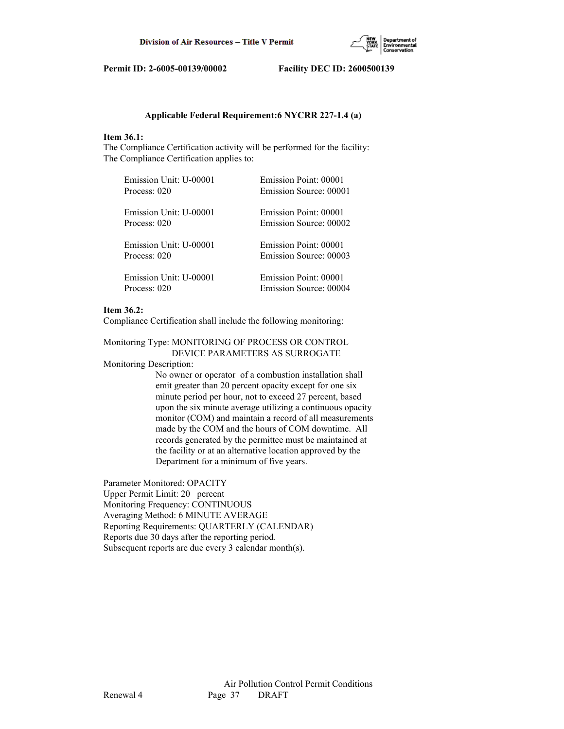

#### **Applicable Federal Requirement:6 NYCRR 227-1.4 (a)**

## **Item 36.1:**

The Compliance Certification activity will be performed for the facility: The Compliance Certification applies to:

| Emission Unit: U-00001 | Emission Point: 00001  |
|------------------------|------------------------|
| Process: $020$         | Emission Source: 00001 |
| Emission Unit: U-00001 | Emission Point: 00001  |
| Process: $020$         | Emission Source: 00002 |
| Emission Unit: U-00001 | Emission Point: 00001  |
| Process: $020$         | Emission Source: 00003 |
| Emission Unit: U-00001 | Emission Point: 00001  |
| Process: 020           | Emission Source: 00004 |

#### **Item 36.2:**

Compliance Certification shall include the following monitoring:

## Monitoring Type: MONITORING OF PROCESS OR CONTROL DEVICE PARAMETERS AS SURROGATE

Monitoring Description:

 No owner or operator of a combustion installation shall emit greater than 20 percent opacity except for one six minute period per hour, not to exceed 27 percent, based upon the six minute average utilizing a continuous opacity monitor (COM) and maintain a record of all measurements made by the COM and the hours of COM downtime. All records generated by the permittee must be maintained at the facility or at an alternative location approved by the Department for a minimum of five years.

Parameter Monitored: OPACITY Upper Permit Limit: 20 percent Monitoring Frequency: CONTINUOUS Averaging Method: 6 MINUTE AVERAGE Reporting Requirements: QUARTERLY (CALENDAR) Reports due 30 days after the reporting period. Subsequent reports are due every 3 calendar month(s).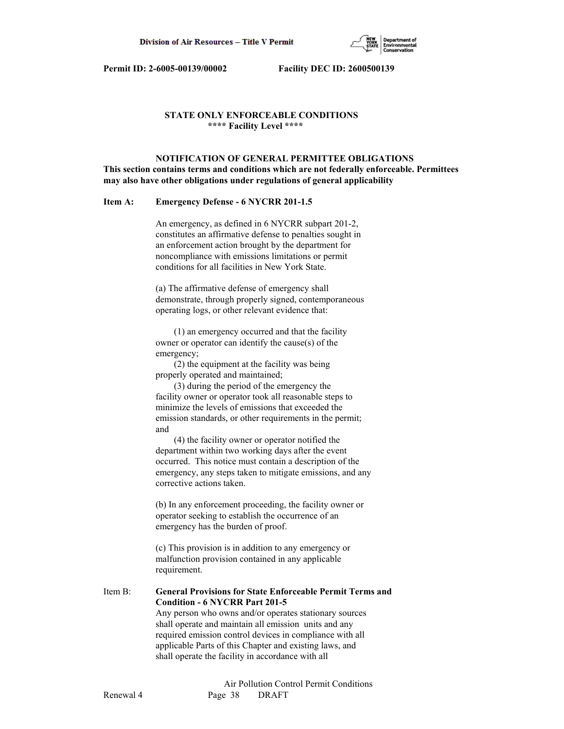

## **STATE ONLY ENFORCEABLE CONDITIONS \*\*\*\* Facility Level \*\*\*\***

 **NOTIFICATION OF GENERAL PERMITTEE OBLIGATIONS This section contains terms and conditions which are not federally enforceable. Permittees may also have other obligations under regulations of general applicability**

### **Item A: Emergency Defense - 6 NYCRR 201-1.5**

 An emergency, as defined in 6 NYCRR subpart 201-2, constitutes an affirmative defense to penalties sought in an enforcement action brought by the department for noncompliance with emissions limitations or permit conditions for all facilities in New York State.

 (a) The affirmative defense of emergency shall demonstrate, through properly signed, contemporaneous operating logs, or other relevant evidence that:

 (1) an emergency occurred and that the facility owner or operator can identify the cause(s) of the emergency;

 (2) the equipment at the facility was being properly operated and maintained;

 (3) during the period of the emergency the facility owner or operator took all reasonable steps to minimize the levels of emissions that exceeded the emission standards, or other requirements in the permit; and

 (4) the facility owner or operator notified the department within two working days after the event occurred. This notice must contain a description of the emergency, any steps taken to mitigate emissions, and any corrective actions taken.

 (b) In any enforcement proceeding, the facility owner or operator seeking to establish the occurrence of an emergency has the burden of proof.

 (c) This provision is in addition to any emergency or malfunction provision contained in any applicable requirement.

Item B: **General Provisions for State Enforceable Permit Terms and Condition - 6 NYCRR Part 201-5** Any person who owns and/or operates stationary sources shall operate and maintain all emission units and any required emission control devices in compliance with all

 applicable Parts of this Chapter and existing laws, and shall operate the facility in accordance with all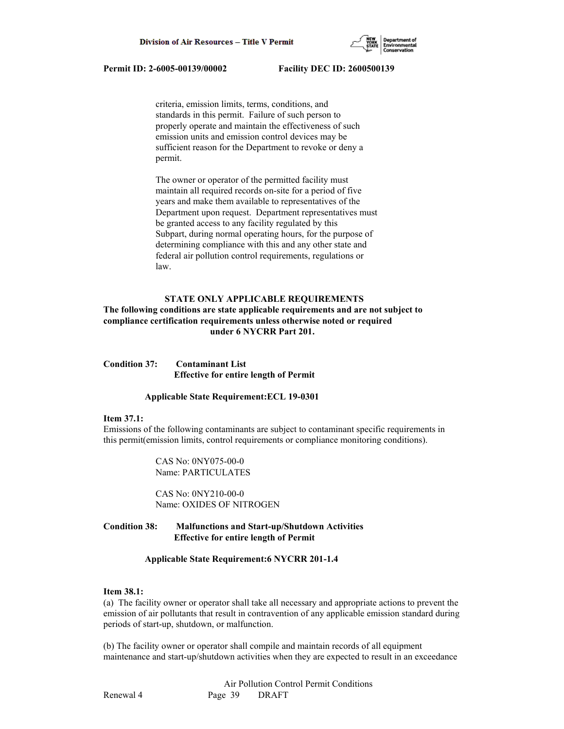

 criteria, emission limits, terms, conditions, and standards in this permit. Failure of such person to properly operate and maintain the effectiveness of such emission units and emission control devices may be sufficient reason for the Department to revoke or deny a permit.

 The owner or operator of the permitted facility must maintain all required records on-site for a period of five years and make them available to representatives of the Department upon request. Department representatives must be granted access to any facility regulated by this Subpart, during normal operating hours, for the purpose of determining compliance with this and any other state and federal air pollution control requirements, regulations or law.

## **STATE ONLY APPLICABLE REQUIREMENTS**

# **The following conditions are state applicable requirements and are not subject to compliance certification requirements unless otherwise noted or required under 6 NYCRR Part 201.**

**Condition 37: Contaminant List Effective for entire length of Permit**

#### **Applicable State Requirement:ECL 19-0301**

#### **Item 37.1:**

Emissions of the following contaminants are subject to contaminant specific requirements in this permit(emission limits, control requirements or compliance monitoring conditions).

> CAS No: 0NY075-00-0 Name: PARTICULATES

 CAS No: 0NY210-00-0 Name: OXIDES OF NITROGEN

## **Condition 38: Malfunctions and Start-up/Shutdown Activities Effective for entire length of Permit**

#### **Applicable State Requirement:6 NYCRR 201-1.4**

## **Item 38.1:**

(a) The facility owner or operator shall take all necessary and appropriate actions to prevent the emission of air pollutants that result in contravention of any applicable emission standard during periods of start-up, shutdown, or malfunction.

(b) The facility owner or operator shall compile and maintain records of all equipment maintenance and start-up/shutdown activities when they are expected to result in an exceedance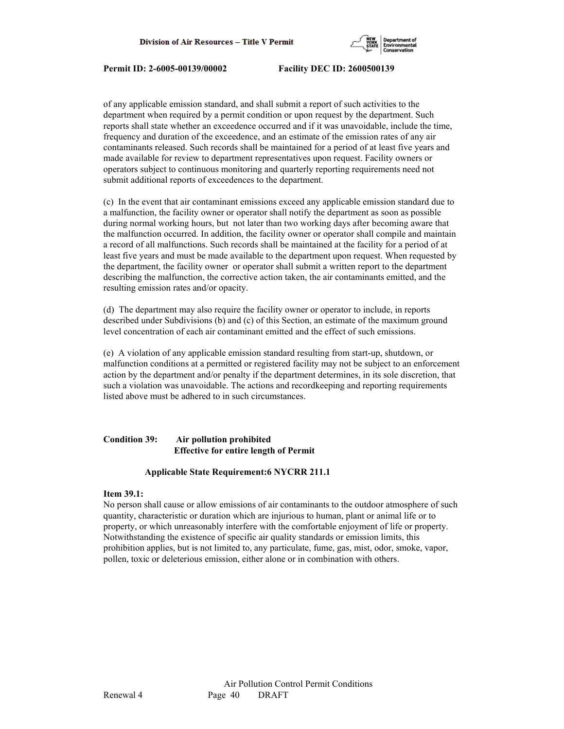

of any applicable emission standard, and shall submit a report of such activities to the department when required by a permit condition or upon request by the department. Such reports shall state whether an exceedence occurred and if it was unavoidable, include the time, frequency and duration of the exceedence, and an estimate of the emission rates of any air contaminants released. Such records shall be maintained for a period of at least five years and made available for review to department representatives upon request. Facility owners or operators subject to continuous monitoring and quarterly reporting requirements need not submit additional reports of exceedences to the department.

(c) In the event that air contaminant emissions exceed any applicable emission standard due to a malfunction, the facility owner or operator shall notify the department as soon as possible during normal working hours, but not later than two working days after becoming aware that the malfunction occurred. In addition, the facility owner or operator shall compile and maintain a record of all malfunctions. Such records shall be maintained at the facility for a period of at least five years and must be made available to the department upon request. When requested by the department, the facility owner or operator shall submit a written report to the department describing the malfunction, the corrective action taken, the air contaminants emitted, and the resulting emission rates and/or opacity.

(d) The department may also require the facility owner or operator to include, in reports described under Subdivisions (b) and (c) of this Section, an estimate of the maximum ground level concentration of each air contaminant emitted and the effect of such emissions.

(e) A violation of any applicable emission standard resulting from start-up, shutdown, or malfunction conditions at a permitted or registered facility may not be subject to an enforcement action by the department and/or penalty if the department determines, in its sole discretion, that such a violation was unavoidable. The actions and recordkeeping and reporting requirements listed above must be adhered to in such circumstances.

# **Condition 39: Air pollution prohibited Effective for entire length of Permit**

## **Applicable State Requirement:6 NYCRR 211.1**

# **Item 39.1:**

No person shall cause or allow emissions of air contaminants to the outdoor atmosphere of such quantity, characteristic or duration which are injurious to human, plant or animal life or to property, or which unreasonably interfere with the comfortable enjoyment of life or property. Notwithstanding the existence of specific air quality standards or emission limits, this prohibition applies, but is not limited to, any particulate, fume, gas, mist, odor, smoke, vapor, pollen, toxic or deleterious emission, either alone or in combination with others.